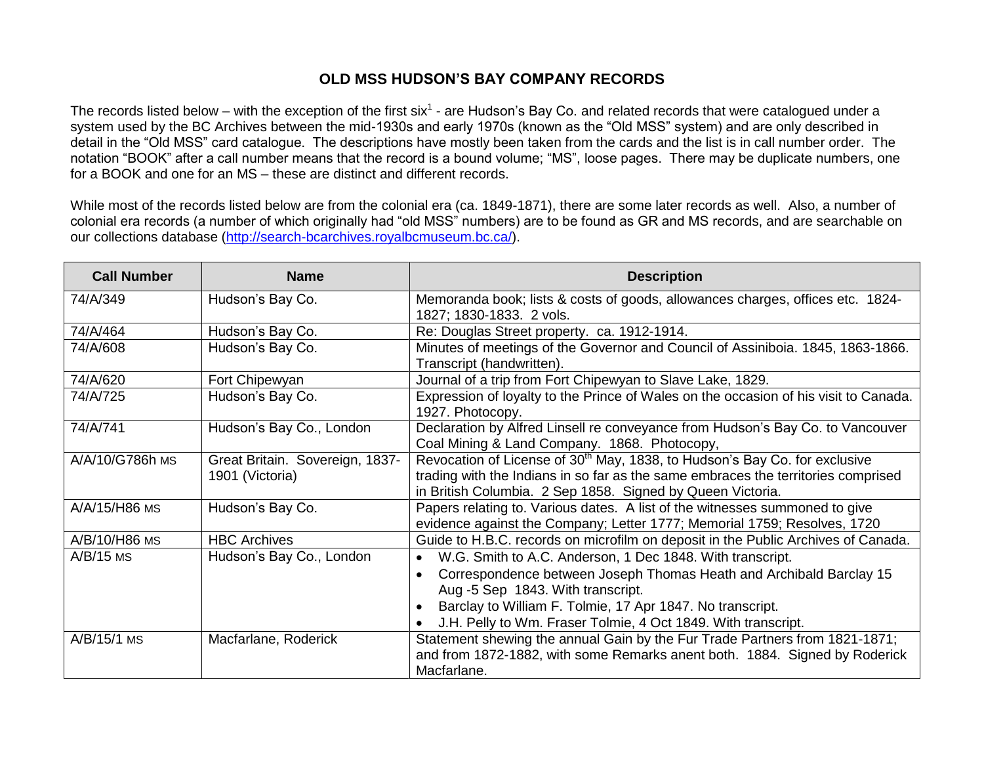## **OLD MSS HUDSON'S BAY COMPANY RECORDS**

The records listed below – with the exception of the first six<sup>1</sup> - are Hudson's Bay Co. and related records that were catalogued under a system used by the BC Archives between the mid-1930s and early 1970s (known as the "Old MSS" system) and are only described in detail in the "Old MSS" card catalogue. The descriptions have mostly been taken from the cards and the list is in call number order. The notation "BOOK" after a call number means that the record is a bound volume; "MS", loose pages. There may be duplicate numbers, one for a BOOK and one for an MS – these are distinct and different records.

While most of the records listed below are from the colonial era (ca. 1849-1871), there are some later records as well. Also, a number of colonial era records (a number of which originally had "old MSS" numbers) are to be found as GR and MS records, and are searchable on our collections database [\(http://search-bcarchives.royalbcmuseum.bc.ca/\)](http://search-bcarchives.royalbcmuseum.bc.ca/).

| <b>Call Number</b> | <b>Name</b>                                        | <b>Description</b>                                                                                                                                                                                                                                                                                               |
|--------------------|----------------------------------------------------|------------------------------------------------------------------------------------------------------------------------------------------------------------------------------------------------------------------------------------------------------------------------------------------------------------------|
| 74/A/349           | Hudson's Bay Co.                                   | Memoranda book; lists & costs of goods, allowances charges, offices etc. 1824-<br>1827; 1830-1833. 2 vols.                                                                                                                                                                                                       |
| 74/A/464           | Hudson's Bay Co.                                   | Re: Douglas Street property. ca. 1912-1914.                                                                                                                                                                                                                                                                      |
| 74/A/608           | Hudson's Bay Co.                                   | Minutes of meetings of the Governor and Council of Assiniboia. 1845, 1863-1866.<br>Transcript (handwritten).                                                                                                                                                                                                     |
| 74/A/620           | Fort Chipewyan                                     | Journal of a trip from Fort Chipewyan to Slave Lake, 1829.                                                                                                                                                                                                                                                       |
| 74/A/725           | Hudson's Bay Co.                                   | Expression of loyalty to the Prince of Wales on the occasion of his visit to Canada.<br>1927. Photocopy.                                                                                                                                                                                                         |
| 74/A/741           | Hudson's Bay Co., London                           | Declaration by Alfred Linsell re conveyance from Hudson's Bay Co. to Vancouver<br>Coal Mining & Land Company. 1868. Photocopy,                                                                                                                                                                                   |
| A/A/10/G786h MS    | Great Britain. Sovereign, 1837-<br>1901 (Victoria) | Revocation of License of 30 <sup>th</sup> May, 1838, to Hudson's Bay Co. for exclusive<br>trading with the Indians in so far as the same embraces the territories comprised<br>in British Columbia. 2 Sep 1858. Signed by Queen Victoria.                                                                        |
| A/A/15/H86 MS      | Hudson's Bay Co.                                   | Papers relating to. Various dates. A list of the witnesses summoned to give<br>evidence against the Company; Letter 1777; Memorial 1759; Resolves, 1720                                                                                                                                                          |
| A/B/10/H86 MS      | <b>HBC Archives</b>                                | Guide to H.B.C. records on microfilm on deposit in the Public Archives of Canada.                                                                                                                                                                                                                                |
| $A/B/15$ MS        | Hudson's Bay Co., London                           | W.G. Smith to A.C. Anderson, 1 Dec 1848. With transcript.<br>$\bullet$<br>Correspondence between Joseph Thomas Heath and Archibald Barclay 15<br>Aug -5 Sep 1843. With transcript.<br>Barclay to William F. Tolmie, 17 Apr 1847. No transcript.<br>J.H. Pelly to Wm. Fraser Tolmie, 4 Oct 1849. With transcript. |
| A/B/15/1 MS        | Macfarlane, Roderick                               | Statement shewing the annual Gain by the Fur Trade Partners from 1821-1871;<br>and from 1872-1882, with some Remarks anent both. 1884. Signed by Roderick<br>Macfarlane.                                                                                                                                         |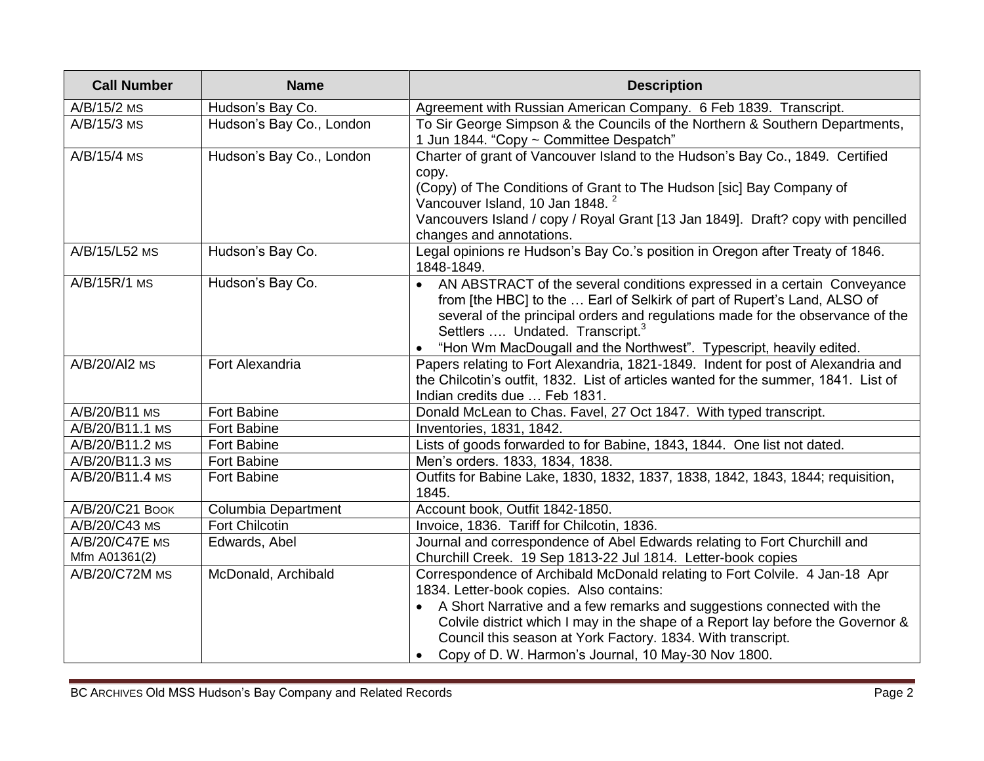| <b>Call Number</b>              | <b>Name</b>              | <b>Description</b>                                                                                                                                                                                                                                                                                                                                                                                         |
|---------------------------------|--------------------------|------------------------------------------------------------------------------------------------------------------------------------------------------------------------------------------------------------------------------------------------------------------------------------------------------------------------------------------------------------------------------------------------------------|
| A/B/15/2 MS                     | Hudson's Bay Co.         | Agreement with Russian American Company. 6 Feb 1839. Transcript.                                                                                                                                                                                                                                                                                                                                           |
| A/B/15/3 MS                     | Hudson's Bay Co., London | To Sir George Simpson & the Councils of the Northern & Southern Departments,<br>1 Jun 1844. "Copy ~ Committee Despatch"                                                                                                                                                                                                                                                                                    |
| A/B/15/4 MS                     | Hudson's Bay Co., London | Charter of grant of Vancouver Island to the Hudson's Bay Co., 1849. Certified<br>copy.<br>(Copy) of The Conditions of Grant to The Hudson [sic] Bay Company of<br>Vancouver Island, 10 Jan 1848. <sup>2</sup><br>Vancouvers Island / copy / Royal Grant [13 Jan 1849]. Draft? copy with pencilled<br>changes and annotations.                                                                              |
| A/B/15/L52 MS                   | Hudson's Bay Co.         | Legal opinions re Hudson's Bay Co.'s position in Oregon after Treaty of 1846.<br>1848-1849.                                                                                                                                                                                                                                                                                                                |
| A/B/15R/1 MS                    | Hudson's Bay Co.         | AN ABSTRACT of the several conditions expressed in a certain Conveyance<br>from [the HBC] to the  Earl of Selkirk of part of Rupert's Land, ALSO of<br>several of the principal orders and regulations made for the observance of the<br>Settlers  Undated. Transcript. <sup>3</sup><br>"Hon Wm MacDougall and the Northwest". Typescript, heavily edited.                                                 |
| A/B/20/AI2 MS                   | Fort Alexandria          | Papers relating to Fort Alexandria, 1821-1849. Indent for post of Alexandria and<br>the Chilcotin's outfit, 1832. List of articles wanted for the summer, 1841. List of<br>Indian credits due  Feb 1831.                                                                                                                                                                                                   |
| A/B/20/B11 MS                   | Fort Babine              | Donald McLean to Chas. Favel, 27 Oct 1847. With typed transcript.                                                                                                                                                                                                                                                                                                                                          |
| A/B/20/B11.1 MS                 | Fort Babine              | Inventories, 1831, 1842.                                                                                                                                                                                                                                                                                                                                                                                   |
| A/B/20/B11.2 MS                 | Fort Babine              | Lists of goods forwarded to for Babine, 1843, 1844. One list not dated.                                                                                                                                                                                                                                                                                                                                    |
| A/B/20/B11.3 MS                 | <b>Fort Babine</b>       | Men's orders. 1833, 1834, 1838.                                                                                                                                                                                                                                                                                                                                                                            |
| A/B/20/B11.4 MS                 | <b>Fort Babine</b>       | Outfits for Babine Lake, 1830, 1832, 1837, 1838, 1842, 1843, 1844; requisition,<br>1845.                                                                                                                                                                                                                                                                                                                   |
| A/B/20/C21 Воок                 | Columbia Department      | Account book, Outfit 1842-1850.                                                                                                                                                                                                                                                                                                                                                                            |
| A/B/20/C43 MS                   | <b>Fort Chilcotin</b>    | Invoice, 1836. Tariff for Chilcotin, 1836.                                                                                                                                                                                                                                                                                                                                                                 |
| A/B/20/C47E MS<br>Mfm A01361(2) | Edwards, Abel            | Journal and correspondence of Abel Edwards relating to Fort Churchill and<br>Churchill Creek. 19 Sep 1813-22 Jul 1814. Letter-book copies                                                                                                                                                                                                                                                                  |
| A/B/20/C72M MS                  | McDonald, Archibald      | Correspondence of Archibald McDonald relating to Fort Colvile. 4 Jan-18 Apr<br>1834. Letter-book copies. Also contains:<br>A Short Narrative and a few remarks and suggestions connected with the<br>Colvile district which I may in the shape of a Report lay before the Governor &<br>Council this season at York Factory. 1834. With transcript.<br>Copy of D. W. Harmon's Journal, 10 May-30 Nov 1800. |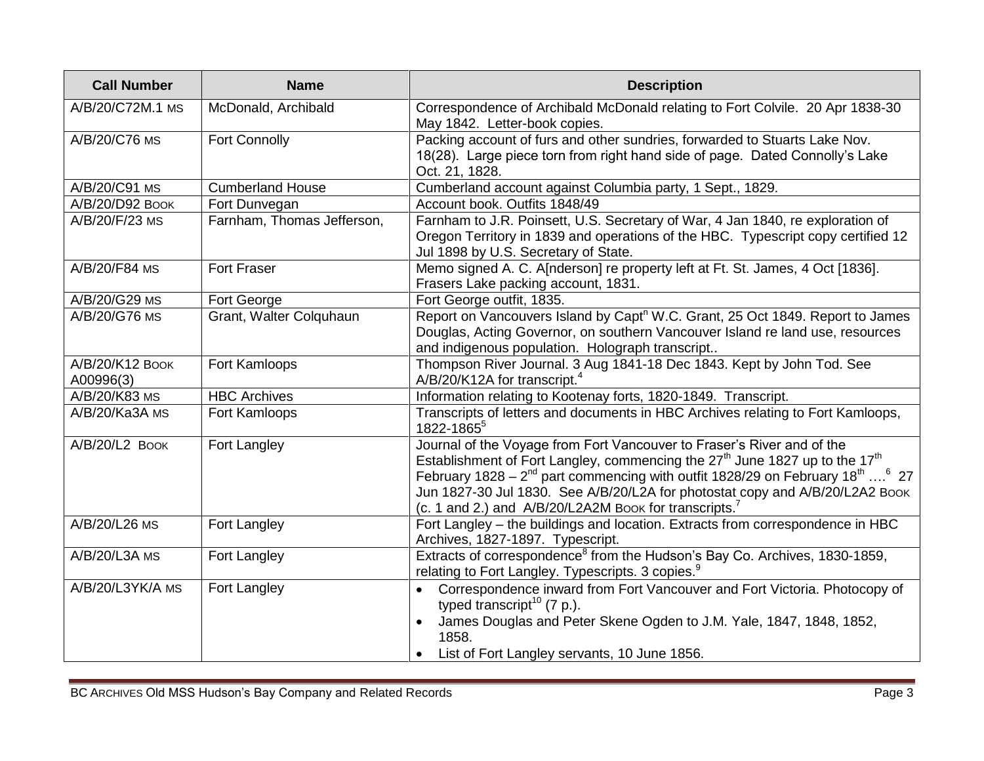| <b>Call Number</b>           | <b>Name</b>                | <b>Description</b>                                                                                                                                                                                                                                                                                                                                                                                                                    |
|------------------------------|----------------------------|---------------------------------------------------------------------------------------------------------------------------------------------------------------------------------------------------------------------------------------------------------------------------------------------------------------------------------------------------------------------------------------------------------------------------------------|
| A/B/20/C72M.1 MS             | McDonald, Archibald        | Correspondence of Archibald McDonald relating to Fort Colvile. 20 Apr 1838-30<br>May 1842. Letter-book copies.                                                                                                                                                                                                                                                                                                                        |
| A/B/20/C76 MS                | <b>Fort Connolly</b>       | Packing account of furs and other sundries, forwarded to Stuarts Lake Nov.<br>18(28). Large piece torn from right hand side of page. Dated Connolly's Lake<br>Oct. 21, 1828.                                                                                                                                                                                                                                                          |
| A/B/20/C91 MS                | <b>Cumberland House</b>    | Cumberland account against Columbia party, 1 Sept., 1829.                                                                                                                                                                                                                                                                                                                                                                             |
| A/B/20/D92 Воок              | Fort Dunvegan              | Account book. Outfits 1848/49                                                                                                                                                                                                                                                                                                                                                                                                         |
| A/B/20/F/23 MS               | Farnham, Thomas Jefferson, | Farnham to J.R. Poinsett, U.S. Secretary of War, 4 Jan 1840, re exploration of<br>Oregon Territory in 1839 and operations of the HBC. Typescript copy certified 12<br>Jul 1898 by U.S. Secretary of State.                                                                                                                                                                                                                            |
| A/B/20/F84 MS                | <b>Fort Fraser</b>         | Memo signed A. C. A[nderson] re property left at Ft. St. James, 4 Oct [1836].<br>Frasers Lake packing account, 1831.                                                                                                                                                                                                                                                                                                                  |
| A/B/20/G29 MS                | Fort George                | Fort George outfit, 1835.                                                                                                                                                                                                                                                                                                                                                                                                             |
| A/B/20/G76 MS                | Grant, Walter Colquhaun    | Report on Vancouvers Island by Capt <sup>n</sup> W.C. Grant, 25 Oct 1849. Report to James<br>Douglas, Acting Governor, on southern Vancouver Island re land use, resources<br>and indigenous population. Holograph transcript                                                                                                                                                                                                         |
| A/B/20/K12 Воок<br>A00996(3) | Fort Kamloops              | Thompson River Journal. 3 Aug 1841-18 Dec 1843. Kept by John Tod. See<br>A/B/20/K12A for transcript. <sup>4</sup>                                                                                                                                                                                                                                                                                                                     |
| A/B/20/K83 MS                | <b>HBC Archives</b>        | Information relating to Kootenay forts, 1820-1849. Transcript.                                                                                                                                                                                                                                                                                                                                                                        |
| A/B/20/Ka3A MS               | Fort Kamloops              | Transcripts of letters and documents in HBC Archives relating to Fort Kamloops,<br>1822-1865 <sup>5</sup>                                                                                                                                                                                                                                                                                                                             |
| A/B/20/L2 BOOK               | Fort Langley               | Journal of the Voyage from Fort Vancouver to Fraser's River and of the<br>Establishment of Fort Langley, commencing the $27th$ June 1827 up to the 17 <sup>th</sup><br>February 1828 – $2^{nd}$ part commencing with outfit 1828/29 on February 18 <sup>th</sup> <sup>6</sup> 27<br>Jun 1827-30 Jul 1830. See A/B/20/L2A for photostat copy and A/B/20/L2A2 Book<br>(c. 1 and 2.) and A/B/20/L2A2M Book for transcripts. <sup>7</sup> |
| A/B/20/L26 MS                | Fort Langley               | Fort Langley - the buildings and location. Extracts from correspondence in HBC<br>Archives, 1827-1897. Typescript.                                                                                                                                                                                                                                                                                                                    |
| A/B/20/L3A MS                | Fort Langley               | Extracts of correspondence <sup>8</sup> from the Hudson's Bay Co. Archives, 1830-1859,<br>relating to Fort Langley. Typescripts. 3 copies. <sup>9</sup>                                                                                                                                                                                                                                                                               |
| A/B/20/L3YK/A MS             | Fort Langley               | Correspondence inward from Fort Vancouver and Fort Victoria. Photocopy of<br>typed transcript <sup>10</sup> (7 p.).<br>James Douglas and Peter Skene Ogden to J.M. Yale, 1847, 1848, 1852,<br>1858.<br>List of Fort Langley servants, 10 June 1856.                                                                                                                                                                                   |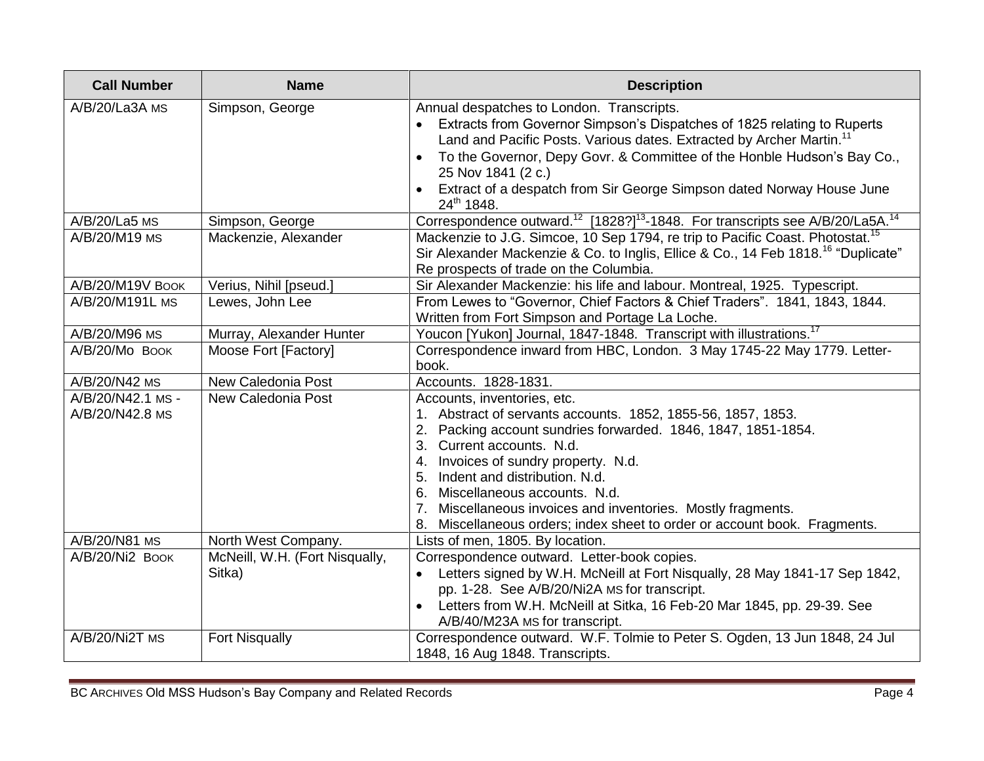| <b>Call Number</b>                   | <b>Name</b>                              | <b>Description</b>                                                                                                                                                                                                                                                                                                                                                                                                                                                |
|--------------------------------------|------------------------------------------|-------------------------------------------------------------------------------------------------------------------------------------------------------------------------------------------------------------------------------------------------------------------------------------------------------------------------------------------------------------------------------------------------------------------------------------------------------------------|
| A/B/20/La3A MS                       | Simpson, George                          | Annual despatches to London. Transcripts.<br>Extracts from Governor Simpson's Dispatches of 1825 relating to Ruperts<br>Land and Pacific Posts. Various dates. Extracted by Archer Martin. <sup>11</sup><br>To the Governor, Depy Govr. & Committee of the Honble Hudson's Bay Co.,<br>25 Nov 1841 (2 c.)<br>Extract of a despatch from Sir George Simpson dated Norway House June<br>24th 1848.                                                                  |
| A/B/20/La5 MS                        | Simpson, George                          | Correspondence outward. <sup>12</sup> [1828?] <sup>13</sup> -1848. For transcripts see A/B/20/La5A. <sup>14</sup>                                                                                                                                                                                                                                                                                                                                                 |
| A/B/20/M19 MS                        | Mackenzie, Alexander                     | Mackenzie to J.G. Simcoe, 10 Sep 1794, re trip to Pacific Coast. Photostat. <sup>15</sup><br>Sir Alexander Mackenzie & Co. to Inglis, Ellice & Co., 14 Feb 1818. <sup>16</sup> "Duplicate"<br>Re prospects of trade on the Columbia.                                                                                                                                                                                                                              |
| A/B/20/M19V BOOK                     | Verius, Nihil [pseud.]                   | Sir Alexander Mackenzie: his life and labour. Montreal, 1925. Typescript.                                                                                                                                                                                                                                                                                                                                                                                         |
| A/B/20/M191L MS                      | Lewes, John Lee                          | From Lewes to "Governor, Chief Factors & Chief Traders". 1841, 1843, 1844.<br>Written from Fort Simpson and Portage La Loche.                                                                                                                                                                                                                                                                                                                                     |
| A/B/20/M96 MS                        | Murray, Alexander Hunter                 | Youcon [Yukon] Journal, 1847-1848. Transcript with illustrations. <sup>17</sup>                                                                                                                                                                                                                                                                                                                                                                                   |
| A/B/20/Mo Book                       | Moose Fort [Factory]                     | Correspondence inward from HBC, London. 3 May 1745-22 May 1779. Letter-<br>book.                                                                                                                                                                                                                                                                                                                                                                                  |
| A/B/20/N42 MS                        | <b>New Caledonia Post</b>                | Accounts. 1828-1831.                                                                                                                                                                                                                                                                                                                                                                                                                                              |
| A/B/20/N42.1 MS -<br>A/B/20/N42.8 MS | <b>New Caledonia Post</b>                | Accounts, inventories, etc.<br>1. Abstract of servants accounts. 1852, 1855-56, 1857, 1853.<br>Packing account sundries forwarded. 1846, 1847, 1851-1854.<br>Current accounts. N.d.<br>3.<br>4. Invoices of sundry property. N.d.<br>Indent and distribution. N.d.<br>5.<br>6.<br>Miscellaneous accounts. N.d.<br>Miscellaneous invoices and inventories. Mostly fragments.<br>7.<br>Miscellaneous orders; index sheet to order or account book. Fragments.<br>8. |
| A/B/20/N81 MS                        | North West Company.                      | Lists of men, 1805. By location.                                                                                                                                                                                                                                                                                                                                                                                                                                  |
| A/B/20/Ni2 BOOK                      | McNeill, W.H. (Fort Nisqually,<br>Sitka) | Correspondence outward. Letter-book copies.<br>Letters signed by W.H. McNeill at Fort Nisqually, 28 May 1841-17 Sep 1842,<br>pp. 1-28. See A/B/20/Ni2A Ms for transcript.<br>Letters from W.H. McNeill at Sitka, 16 Feb-20 Mar 1845, pp. 29-39. See<br>A/B/40/M23A MS for transcript.                                                                                                                                                                             |
| $A/B/20/Ni2T$ MS                     | <b>Fort Nisqually</b>                    | Correspondence outward. W.F. Tolmie to Peter S. Ogden, 13 Jun 1848, 24 Jul<br>1848, 16 Aug 1848. Transcripts.                                                                                                                                                                                                                                                                                                                                                     |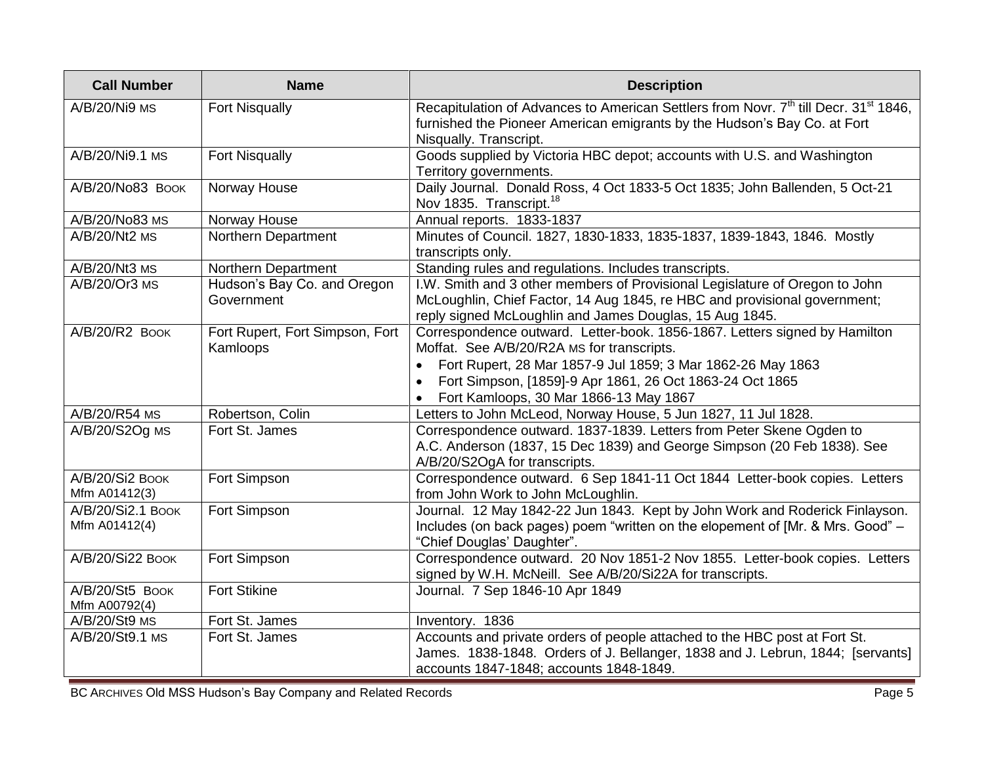| <b>Call Number</b>                 | <b>Name</b>                                 | <b>Description</b>                                                                                                                                                                                                                                                                            |
|------------------------------------|---------------------------------------------|-----------------------------------------------------------------------------------------------------------------------------------------------------------------------------------------------------------------------------------------------------------------------------------------------|
| A/B/20/Ni9 MS                      | <b>Fort Nisqually</b>                       | Recapitulation of Advances to American Settlers from Novr. 7 <sup>th</sup> till Decr. 31 <sup>st</sup> 1846,<br>furnished the Pioneer American emigrants by the Hudson's Bay Co. at Fort<br>Nisqually. Transcript.                                                                            |
| A/B/20/Ni9.1 MS                    | <b>Fort Nisqually</b>                       | Goods supplied by Victoria HBC depot; accounts with U.S. and Washington<br>Territory governments.                                                                                                                                                                                             |
| A/B/20/No83 BOOK                   | Norway House                                | Daily Journal. Donald Ross, 4 Oct 1833-5 Oct 1835; John Ballenden, 5 Oct-21<br>Nov 1835. Transcript. <sup>18</sup>                                                                                                                                                                            |
| A/B/20/No83 MS                     | Norway House                                | Annual reports. 1833-1837                                                                                                                                                                                                                                                                     |
| A/B/20/Nt2 MS                      | Northern Department                         | Minutes of Council. 1827, 1830-1833, 1835-1837, 1839-1843, 1846. Mostly<br>transcripts only.                                                                                                                                                                                                  |
| A/B/20/Nt3 MS                      | Northern Department                         | Standing rules and regulations. Includes transcripts.                                                                                                                                                                                                                                         |
| A/B/20/Or3 MS                      | Hudson's Bay Co. and Oregon<br>Government   | I.W. Smith and 3 other members of Provisional Legislature of Oregon to John<br>McLoughlin, Chief Factor, 14 Aug 1845, re HBC and provisional government;<br>reply signed McLoughlin and James Douglas, 15 Aug 1845.                                                                           |
| $A/B/20/R2$ Book                   | Fort Rupert, Fort Simpson, Fort<br>Kamloops | Correspondence outward. Letter-book. 1856-1867. Letters signed by Hamilton<br>Moffat. See A/B/20/R2A MS for transcripts.<br>Fort Rupert, 28 Mar 1857-9 Jul 1859; 3 Mar 1862-26 May 1863<br>Fort Simpson, [1859]-9 Apr 1861, 26 Oct 1863-24 Oct 1865<br>Fort Kamloops, 30 Mar 1866-13 May 1867 |
| A/B/20/R54 MS                      | Robertson, Colin                            | Letters to John McLeod, Norway House, 5 Jun 1827, 11 Jul 1828.                                                                                                                                                                                                                                |
| A/B/20/S2Og MS                     | Fort St. James                              | Correspondence outward. 1837-1839. Letters from Peter Skene Ogden to<br>A.C. Anderson (1837, 15 Dec 1839) and George Simpson (20 Feb 1838). See<br>A/B/20/S2OgA for transcripts.                                                                                                              |
| A/B/20/Si2 Book<br>Mfm A01412(3)   | Fort Simpson                                | Correspondence outward. 6 Sep 1841-11 Oct 1844 Letter-book copies. Letters<br>from John Work to John McLoughlin.                                                                                                                                                                              |
| A/B/20/Si2.1 BOOK<br>Mfm A01412(4) | Fort Simpson                                | Journal. 12 May 1842-22 Jun 1843. Kept by John Work and Roderick Finlayson.<br>Includes (on back pages) poem "written on the elopement of [Mr. & Mrs. Good" -<br>"Chief Douglas' Daughter".                                                                                                   |
| A/B/20/Si22 Book                   | Fort Simpson                                | Correspondence outward. 20 Nov 1851-2 Nov 1855. Letter-book copies. Letters<br>signed by W.H. McNeill. See A/B/20/Si22A for transcripts.                                                                                                                                                      |
| A/B/20/St5 BOOK<br>Mfm A00792(4)   | <b>Fort Stikine</b>                         | Journal. 7 Sep 1846-10 Apr 1849                                                                                                                                                                                                                                                               |
| A/B/20/St9 MS                      | Fort St. James                              | Inventory. 1836                                                                                                                                                                                                                                                                               |
| A/B/20/St9.1 MS                    | Fort St. James                              | Accounts and private orders of people attached to the HBC post at Fort St.<br>James. 1838-1848. Orders of J. Bellanger, 1838 and J. Lebrun, 1844; [servants]<br>accounts 1847-1848; accounts 1848-1849.                                                                                       |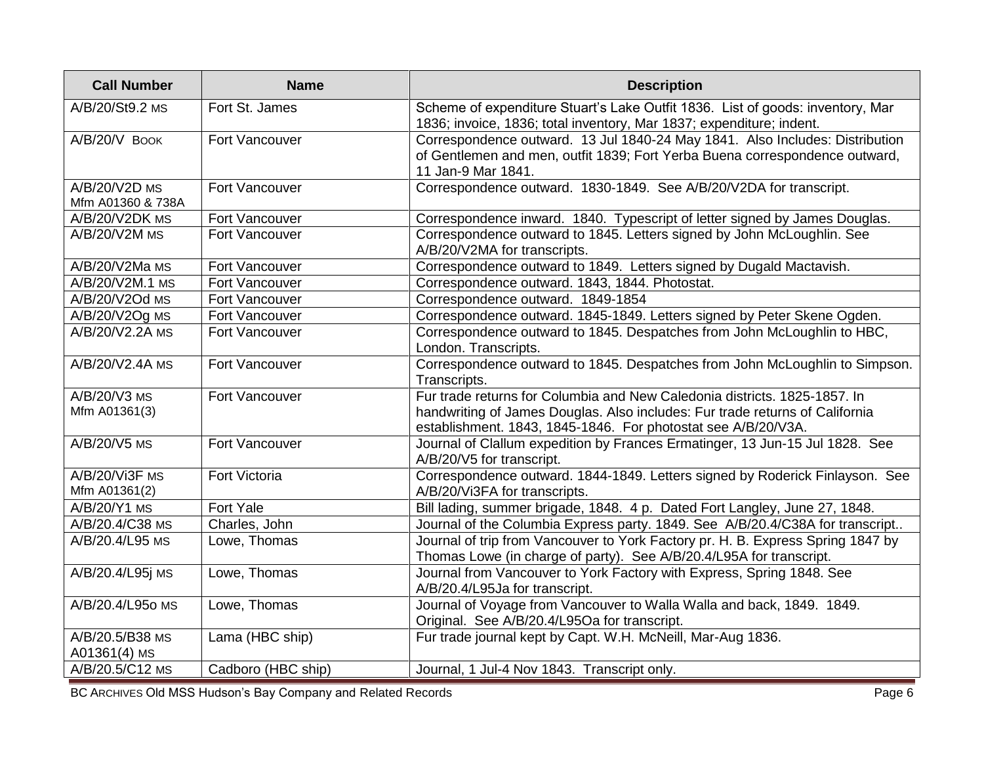| <b>Call Number</b>                 | <b>Name</b>          | <b>Description</b>                                                                                                                                                                                                         |
|------------------------------------|----------------------|----------------------------------------------------------------------------------------------------------------------------------------------------------------------------------------------------------------------------|
| A/B/20/St9.2 MS                    | Fort St. James       | Scheme of expenditure Stuart's Lake Outfit 1836. List of goods: inventory, Mar<br>1836; invoice, 1836; total inventory, Mar 1837; expenditure; indent.                                                                     |
| A/B/20/V BOOK                      | Fort Vancouver       | Correspondence outward. 13 Jul 1840-24 May 1841. Also Includes: Distribution<br>of Gentlemen and men, outfit 1839; Fort Yerba Buena correspondence outward,<br>11 Jan-9 Mar 1841.                                          |
| A/B/20/V2D MS<br>Mfm A01360 & 738A | Fort Vancouver       | Correspondence outward. 1830-1849. See A/B/20/V2DA for transcript.                                                                                                                                                         |
| A/B/20/V2DK MS                     | Fort Vancouver       | Correspondence inward. 1840. Typescript of letter signed by James Douglas.                                                                                                                                                 |
| A/B/20/V2M MS                      | Fort Vancouver       | Correspondence outward to 1845. Letters signed by John McLoughlin. See<br>A/B/20/V2MA for transcripts.                                                                                                                     |
| A/B/20/V2Ma MS                     | Fort Vancouver       | Correspondence outward to 1849. Letters signed by Dugald Mactavish.                                                                                                                                                        |
| A/B/20/V2M.1 MS                    | Fort Vancouver       | Correspondence outward. 1843, 1844. Photostat.                                                                                                                                                                             |
| A/B/20/V2Od MS                     | Fort Vancouver       | Correspondence outward. 1849-1854                                                                                                                                                                                          |
| A/B/20/V2Og MS                     | Fort Vancouver       | Correspondence outward. 1845-1849. Letters signed by Peter Skene Ogden.                                                                                                                                                    |
| A/B/20/V2.2A MS                    | Fort Vancouver       | Correspondence outward to 1845. Despatches from John McLoughlin to HBC,<br>London. Transcripts.                                                                                                                            |
| A/B/20/V2.4A MS                    | Fort Vancouver       | Correspondence outward to 1845. Despatches from John McLoughlin to Simpson.<br>Transcripts.                                                                                                                                |
| A/B/20/V3 MS<br>Mfm A01361(3)      | Fort Vancouver       | Fur trade returns for Columbia and New Caledonia districts. 1825-1857. In<br>handwriting of James Douglas. Also includes: Fur trade returns of California<br>establishment. 1843, 1845-1846. For photostat see A/B/20/V3A. |
| A/B/20/V5 MS                       | Fort Vancouver       | Journal of Clallum expedition by Frances Ermatinger, 13 Jun-15 Jul 1828. See<br>A/B/20/V5 for transcript.                                                                                                                  |
| A/B/20/Vi3F MS<br>Mfm A01361(2)    | <b>Fort Victoria</b> | Correspondence outward. 1844-1849. Letters signed by Roderick Finlayson. See<br>A/B/20/Vi3FA for transcripts.                                                                                                              |
| A/B/20/Y1 MS                       | Fort Yale            | Bill lading, summer brigade, 1848. 4 p. Dated Fort Langley, June 27, 1848.                                                                                                                                                 |
| A/B/20.4/C38 MS                    | Charles, John        | Journal of the Columbia Express party. 1849. See A/B/20.4/C38A for transcript                                                                                                                                              |
| A/B/20.4/L95 MS                    | Lowe, Thomas         | Journal of trip from Vancouver to York Factory pr. H. B. Express Spring 1847 by<br>Thomas Lowe (in charge of party). See A/B/20.4/L95A for transcript.                                                                     |
| A/B/20.4/L95j MS                   | Lowe, Thomas         | Journal from Vancouver to York Factory with Express, Spring 1848. See<br>A/B/20.4/L95Ja for transcript.                                                                                                                    |
| A/B/20.4/L950 MS                   | Lowe, Thomas         | Journal of Voyage from Vancouver to Walla Walla and back, 1849. 1849.<br>Original. See A/B/20.4/L95Oa for transcript.                                                                                                      |
| A/B/20.5/B38 MS<br>$A01361(4)$ MS  | Lama (HBC ship)      | Fur trade journal kept by Capt. W.H. McNeill, Mar-Aug 1836.                                                                                                                                                                |
| A/B/20.5/C12 MS                    | Cadboro (HBC ship)   | Journal, 1 Jul-4 Nov 1843. Transcript only.                                                                                                                                                                                |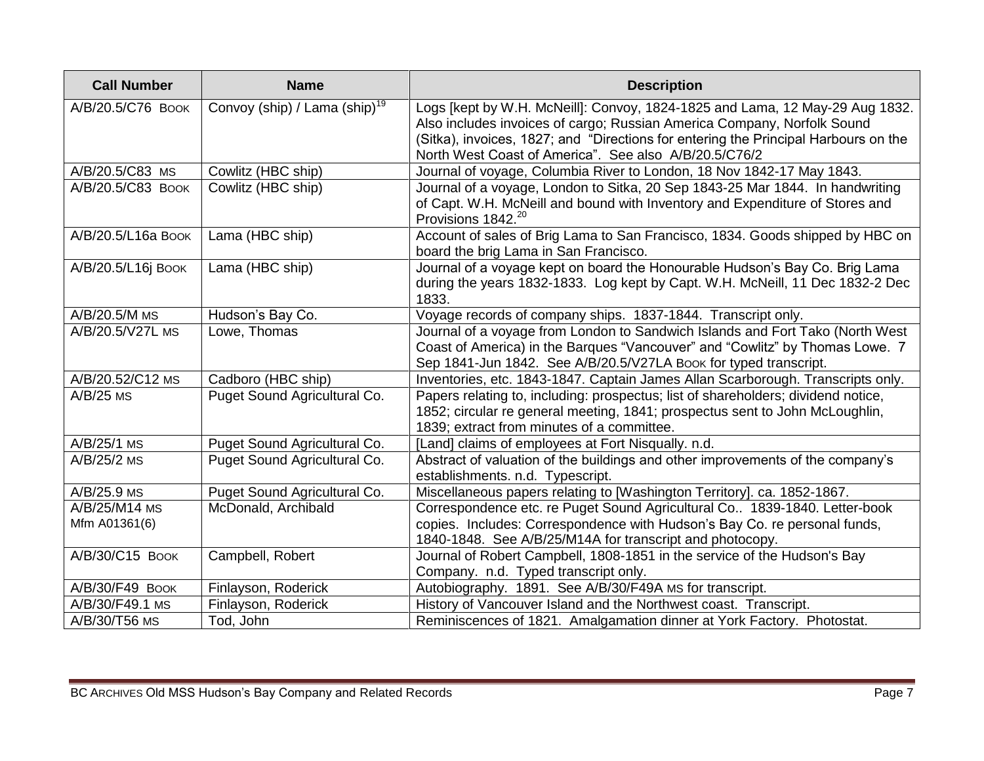| <b>Call Number</b>             | <b>Name</b>                                        | <b>Description</b>                                                                                                                                                                                                                                                                                      |
|--------------------------------|----------------------------------------------------|---------------------------------------------------------------------------------------------------------------------------------------------------------------------------------------------------------------------------------------------------------------------------------------------------------|
| A/B/20.5/C76 BOOK              | Convoy (ship) $\sqrt{l}$ Lama (ship) <sup>19</sup> | Logs [kept by W.H. McNeill]: Convoy, 1824-1825 and Lama, 12 May-29 Aug 1832.<br>Also includes invoices of cargo; Russian America Company, Norfolk Sound<br>(Sitka), invoices, 1827; and "Directions for entering the Principal Harbours on the<br>North West Coast of America". See also A/B/20.5/C76/2 |
| A/B/20.5/C83 MS                | Cowlitz (HBC ship)                                 | Journal of voyage, Columbia River to London, 18 Nov 1842-17 May 1843.                                                                                                                                                                                                                                   |
| A/B/20.5/C83 BOOK              | Cowlitz (HBC ship)                                 | Journal of a voyage, London to Sitka, 20 Sep 1843-25 Mar 1844. In handwriting<br>of Capt. W.H. McNeill and bound with Inventory and Expenditure of Stores and<br>Provisions 1842. <sup>20</sup>                                                                                                         |
| A/B/20.5/L16a Воок             | Lama (HBC ship)                                    | Account of sales of Brig Lama to San Francisco, 1834. Goods shipped by HBC on<br>board the brig Lama in San Francisco.                                                                                                                                                                                  |
| A/B/20.5/L16j BOOK             | Lama (HBC ship)                                    | Journal of a voyage kept on board the Honourable Hudson's Bay Co. Brig Lama<br>during the years 1832-1833. Log kept by Capt. W.H. McNeill, 11 Dec 1832-2 Dec<br>1833.                                                                                                                                   |
| A/B/20.5/M MS                  | Hudson's Bay Co.                                   | Voyage records of company ships. 1837-1844. Transcript only.                                                                                                                                                                                                                                            |
| A/B/20.5/V27L MS               | Lowe, Thomas                                       | Journal of a voyage from London to Sandwich Islands and Fort Tako (North West<br>Coast of America) in the Barques "Vancouver" and "Cowlitz" by Thomas Lowe. 7<br>Sep 1841-Jun 1842. See A/B/20.5/V27LA Book for typed transcript.                                                                       |
| A/B/20.52/C12 MS               | Cadboro (HBC ship)                                 | Inventories, etc. 1843-1847. Captain James Allan Scarborough. Transcripts only.                                                                                                                                                                                                                         |
| $A/B/25$ MS                    | Puget Sound Agricultural Co.                       | Papers relating to, including: prospectus; list of shareholders; dividend notice,<br>1852; circular re general meeting, 1841; prospectus sent to John McLoughlin,<br>1839; extract from minutes of a committee.                                                                                         |
| A/B/25/1 MS                    | Puget Sound Agricultural Co.                       | [Land] claims of employees at Fort Nisqually. n.d.                                                                                                                                                                                                                                                      |
| A/B/25/2 MS                    | Puget Sound Agricultural Co.                       | Abstract of valuation of the buildings and other improvements of the company's<br>establishments. n.d. Typescript.                                                                                                                                                                                      |
| A/B/25.9 MS                    | Puget Sound Agricultural Co.                       | Miscellaneous papers relating to [Washington Territory]. ca. 1852-1867.                                                                                                                                                                                                                                 |
| A/B/25/M14 MS<br>Mfm A01361(6) | McDonald, Archibald                                | Correspondence etc. re Puget Sound Agricultural Co 1839-1840. Letter-book<br>copies. Includes: Correspondence with Hudson's Bay Co. re personal funds,<br>1840-1848. See A/B/25/M14A for transcript and photocopy.                                                                                      |
| A/B/30/C15 BOOK                | Campbell, Robert                                   | Journal of Robert Campbell, 1808-1851 in the service of the Hudson's Bay<br>Company. n.d. Typed transcript only.                                                                                                                                                                                        |
| A/B/30/F49 BOOK                | Finlayson, Roderick                                | Autobiography. 1891. See A/B/30/F49A MS for transcript.                                                                                                                                                                                                                                                 |
| A/B/30/F49.1 MS                | Finlayson, Roderick                                | History of Vancouver Island and the Northwest coast. Transcript.                                                                                                                                                                                                                                        |
| A/B/30/T56 MS                  | Tod, John                                          | Reminiscences of 1821. Amalgamation dinner at York Factory. Photostat.                                                                                                                                                                                                                                  |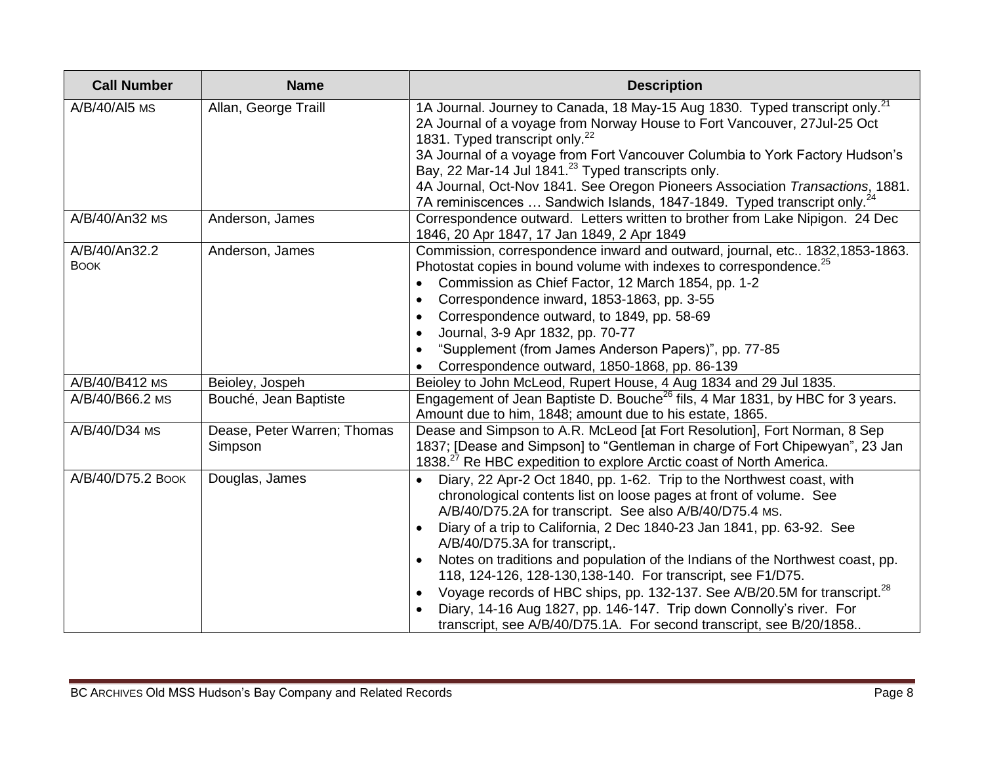| <b>Call Number</b>           | <b>Name</b>                            | <b>Description</b>                                                                                                                                                                                                                                                                                                                                                                                                                                                                                                                                                                                                                                                                                                    |
|------------------------------|----------------------------------------|-----------------------------------------------------------------------------------------------------------------------------------------------------------------------------------------------------------------------------------------------------------------------------------------------------------------------------------------------------------------------------------------------------------------------------------------------------------------------------------------------------------------------------------------------------------------------------------------------------------------------------------------------------------------------------------------------------------------------|
| A/B/40/AI5 MS                | Allan, George Traill                   | 1A Journal. Journey to Canada, 18 May-15 Aug 1830. Typed transcript only. <sup>21</sup><br>2A Journal of a voyage from Norway House to Fort Vancouver, 27Jul-25 Oct<br>1831. Typed transcript only. <sup>22</sup><br>3A Journal of a voyage from Fort Vancouver Columbia to York Factory Hudson's<br>Bay, 22 Mar-14 Jul 1841. <sup>23</sup> Typed transcripts only.<br>4A Journal, Oct-Nov 1841. See Oregon Pioneers Association Transactions, 1881.<br>7A reminiscences  Sandwich Islands, 1847-1849. Typed transcript only. <sup>24</sup>                                                                                                                                                                           |
| A/B/40/An32 MS               | Anderson, James                        | Correspondence outward. Letters written to brother from Lake Nipigon. 24 Dec<br>1846, 20 Apr 1847, 17 Jan 1849, 2 Apr 1849                                                                                                                                                                                                                                                                                                                                                                                                                                                                                                                                                                                            |
| A/B/40/An32.2<br><b>BOOK</b> | Anderson, James                        | Commission, correspondence inward and outward, journal, etc 1832,1853-1863.<br>Photostat copies in bound volume with indexes to correspondence. <sup>25</sup><br>Commission as Chief Factor, 12 March 1854, pp. 1-2<br>Correspondence inward, 1853-1863, pp. 3-55<br>$\bullet$<br>Correspondence outward, to 1849, pp. 58-69<br>Journal, 3-9 Apr 1832, pp. 70-77<br>"Supplement (from James Anderson Papers)", pp. 77-85<br>Correspondence outward, 1850-1868, pp. 86-139                                                                                                                                                                                                                                             |
| A/B/40/B412 MS               | Beioley, Jospeh                        | Beioley to John McLeod, Rupert House, 4 Aug 1834 and 29 Jul 1835.                                                                                                                                                                                                                                                                                                                                                                                                                                                                                                                                                                                                                                                     |
| A/B/40/B66.2 MS              | Bouché, Jean Baptiste                  | Engagement of Jean Baptiste D. Bouche <sup>26</sup> fils, 4 Mar 1831, by HBC for 3 years.<br>Amount due to him, 1848; amount due to his estate, 1865.                                                                                                                                                                                                                                                                                                                                                                                                                                                                                                                                                                 |
| A/B/40/D34 MS                | Dease, Peter Warren; Thomas<br>Simpson | Dease and Simpson to A.R. McLeod [at Fort Resolution], Fort Norman, 8 Sep<br>1837; [Dease and Simpson] to "Gentleman in charge of Fort Chipewyan", 23 Jan<br>1838. <sup>27</sup> Re HBC expedition to explore Arctic coast of North America.                                                                                                                                                                                                                                                                                                                                                                                                                                                                          |
| A/B/40/D75.2 BOOK            | Douglas, James                         | Diary, 22 Apr-2 Oct 1840, pp. 1-62. Trip to the Northwest coast, with<br>$\bullet$<br>chronological contents list on loose pages at front of volume. See<br>A/B/40/D75.2A for transcript. See also A/B/40/D75.4 MS.<br>Diary of a trip to California, 2 Dec 1840-23 Jan 1841, pp. 63-92. See<br>A/B/40/D75.3A for transcript,.<br>Notes on traditions and population of the Indians of the Northwest coast, pp.<br>118, 124-126, 128-130, 138-140. For transcript, see F1/D75.<br>Voyage records of HBC ships, pp. 132-137. See A/B/20.5M for transcript. <sup>28</sup><br>Diary, 14-16 Aug 1827, pp. 146-147. Trip down Connolly's river. For<br>transcript, see A/B/40/D75.1A. For second transcript, see B/20/1858 |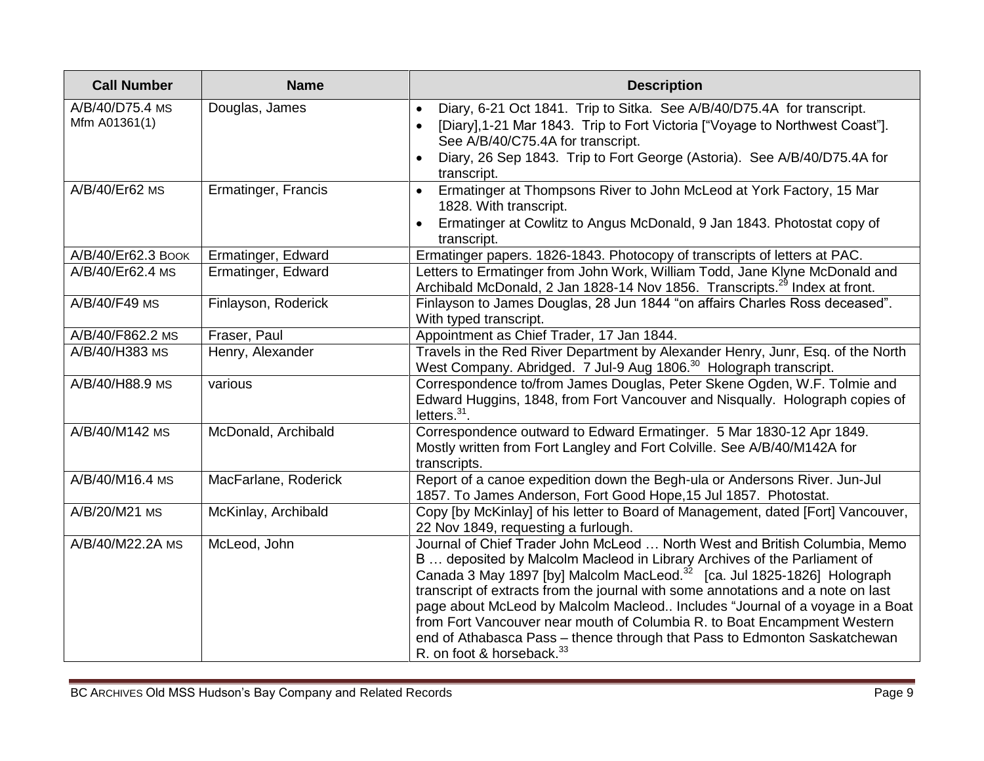| <b>Call Number</b>               | <b>Name</b>          | <b>Description</b>                                                                                                                                                                                                                                                                                                                                                                                                                                                                                                                                                                                                  |
|----------------------------------|----------------------|---------------------------------------------------------------------------------------------------------------------------------------------------------------------------------------------------------------------------------------------------------------------------------------------------------------------------------------------------------------------------------------------------------------------------------------------------------------------------------------------------------------------------------------------------------------------------------------------------------------------|
| A/B/40/D75.4 MS<br>Mfm A01361(1) | Douglas, James       | Diary, 6-21 Oct 1841. Trip to Sitka. See A/B/40/D75.4A for transcript.<br>[Diary], 1-21 Mar 1843. Trip to Fort Victoria ["Voyage to Northwest Coast"].<br>See A/B/40/C75.4A for transcript.<br>Diary, 26 Sep 1843. Trip to Fort George (Astoria). See A/B/40/D75.4A for<br>transcript.                                                                                                                                                                                                                                                                                                                              |
| A/B/40/Er62 MS                   | Ermatinger, Francis  | Ermatinger at Thompsons River to John McLeod at York Factory, 15 Mar<br>$\bullet$<br>1828. With transcript.<br>Ermatinger at Cowlitz to Angus McDonald, 9 Jan 1843. Photostat copy of<br>transcript.                                                                                                                                                                                                                                                                                                                                                                                                                |
| A/B/40/Er62.3 Воок               | Ermatinger, Edward   | Ermatinger papers. 1826-1843. Photocopy of transcripts of letters at PAC.                                                                                                                                                                                                                                                                                                                                                                                                                                                                                                                                           |
| A/B/40/Er62.4 MS                 | Ermatinger, Edward   | Letters to Ermatinger from John Work, William Todd, Jane Klyne McDonald and<br>Archibald McDonald, 2 Jan 1828-14 Nov 1856. Transcripts. <sup>29</sup> Index at front.                                                                                                                                                                                                                                                                                                                                                                                                                                               |
| A/B/40/F49 MS                    | Finlayson, Roderick  | Finlayson to James Douglas, 28 Jun 1844 "on affairs Charles Ross deceased".<br>With typed transcript.                                                                                                                                                                                                                                                                                                                                                                                                                                                                                                               |
| A/B/40/F862.2 MS                 | Fraser, Paul         | Appointment as Chief Trader, 17 Jan 1844.                                                                                                                                                                                                                                                                                                                                                                                                                                                                                                                                                                           |
| A/B/40/H383 MS                   | Henry, Alexander     | Travels in the Red River Department by Alexander Henry, Junr, Esq. of the North<br>West Company. Abridged. 7 Jul-9 Aug 1806. <sup>30</sup> Holograph transcript.                                                                                                                                                                                                                                                                                                                                                                                                                                                    |
| A/B/40/H88.9 MS                  | various              | Correspondence to/from James Douglas, Peter Skene Ogden, W.F. Tolmie and<br>Edward Huggins, 1848, from Fort Vancouver and Nisqually. Holograph copies of<br>letters. $31$ .                                                                                                                                                                                                                                                                                                                                                                                                                                         |
| A/B/40/M142 MS                   | McDonald, Archibald  | Correspondence outward to Edward Ermatinger. 5 Mar 1830-12 Apr 1849.<br>Mostly written from Fort Langley and Fort Colville. See A/B/40/M142A for<br>transcripts.                                                                                                                                                                                                                                                                                                                                                                                                                                                    |
| A/B/40/M16.4 MS                  | MacFarlane, Roderick | Report of a canoe expedition down the Begh-ula or Andersons River. Jun-Jul<br>1857. To James Anderson, Fort Good Hope, 15 Jul 1857. Photostat.                                                                                                                                                                                                                                                                                                                                                                                                                                                                      |
| A/B/20/M21 MS                    | McKinlay, Archibald  | Copy [by McKinlay] of his letter to Board of Management, dated [Fort] Vancouver,<br>22 Nov 1849, requesting a furlough.                                                                                                                                                                                                                                                                                                                                                                                                                                                                                             |
| A/B/40/M22.2A MS                 | McLeod, John         | Journal of Chief Trader John McLeod  North West and British Columbia, Memo<br>B  deposited by Malcolm Macleod in Library Archives of the Parliament of<br>Canada 3 May 1897 [by] Malcolm MacLeod. <sup>32</sup> [ca. Jul 1825-1826] Holograph<br>transcript of extracts from the journal with some annotations and a note on last<br>page about McLeod by Malcolm Macleod Includes "Journal of a voyage in a Boat<br>from Fort Vancouver near mouth of Columbia R. to Boat Encampment Western<br>end of Athabasca Pass - thence through that Pass to Edmonton Saskatchewan<br>R. on foot & horseback. <sup>33</sup> |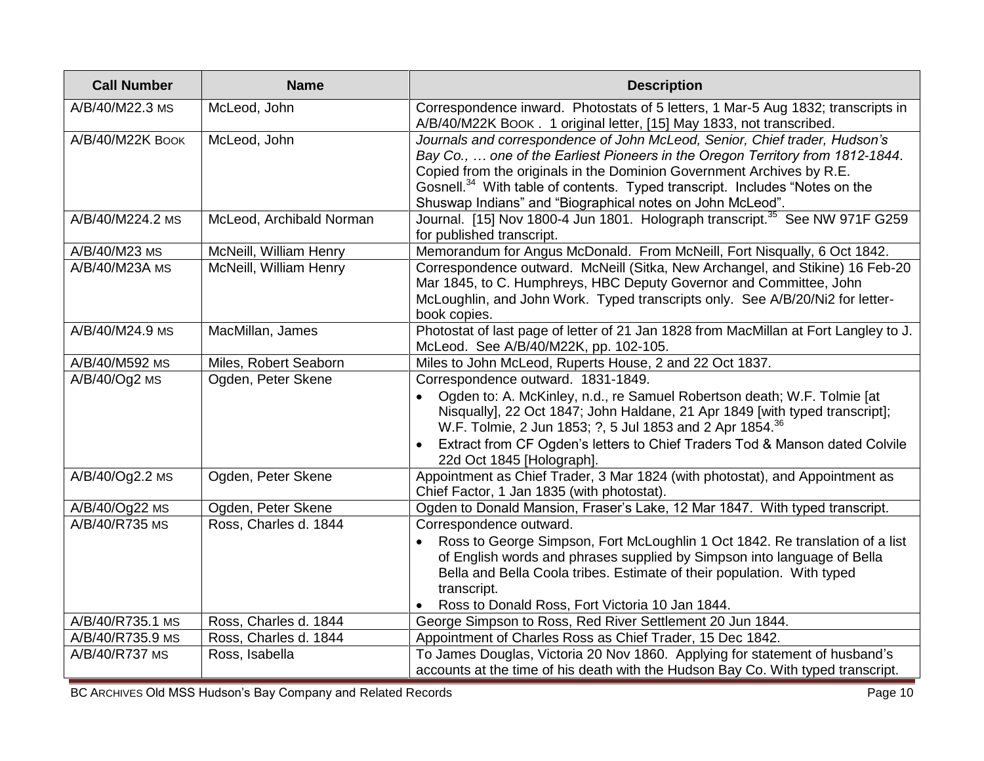| <b>Call Number</b> | <b>Name</b>              | <b>Description</b>                                                                                                                                                                                                                                                                                                                                                                            |
|--------------------|--------------------------|-----------------------------------------------------------------------------------------------------------------------------------------------------------------------------------------------------------------------------------------------------------------------------------------------------------------------------------------------------------------------------------------------|
| A/B/40/M22.3 MS    | McLeod, John             | Correspondence inward. Photostats of 5 letters, 1 Mar-5 Aug 1832; transcripts in<br>A/B/40/M22K BOOK . 1 original letter, [15] May 1833, not transcribed.                                                                                                                                                                                                                                     |
| A/B/40/M22K BOOK   | McLeod, John             | Journals and correspondence of John McLeod, Senior, Chief trader, Hudson's<br>Bay Co.,  one of the Earliest Pioneers in the Oregon Territory from 1812-1844.<br>Copied from the originals in the Dominion Government Archives by R.E.<br>Gosnell. <sup>34</sup> With table of contents. Typed transcript. Includes "Notes on the<br>Shuswap Indians" and "Biographical notes on John McLeod". |
| A/B/40/M224.2 MS   | McLeod, Archibald Norman | Journal. [15] Nov 1800-4 Jun 1801. Holograph transcript. <sup>35</sup> See NW 971F G259<br>for published transcript.                                                                                                                                                                                                                                                                          |
| A/B/40/M23 MS      | McNeill, William Henry   | Memorandum for Angus McDonald. From McNeill, Fort Nisqually, 6 Oct 1842.                                                                                                                                                                                                                                                                                                                      |
| A/B/40/M23A MS     | McNeill, William Henry   | Correspondence outward. McNeill (Sitka, New Archangel, and Stikine) 16 Feb-20<br>Mar 1845, to C. Humphreys, HBC Deputy Governor and Committee, John<br>McLoughlin, and John Work. Typed transcripts only. See A/B/20/Ni2 for letter-<br>book copies.                                                                                                                                          |
| A/B/40/M24.9 MS    | MacMillan, James         | Photostat of last page of letter of 21 Jan 1828 from MacMillan at Fort Langley to J.<br>McLeod. See A/B/40/M22K, pp. 102-105.                                                                                                                                                                                                                                                                 |
| A/B/40/M592 MS     | Miles, Robert Seaborn    | Miles to John McLeod, Ruperts House, 2 and 22 Oct 1837.                                                                                                                                                                                                                                                                                                                                       |
| $A/B/40/Oq2$ MS    | Ogden, Peter Skene       | Correspondence outward. 1831-1849.<br>Ogden to: A. McKinley, n.d., re Samuel Robertson death; W.F. Tolmie [at<br>Nisqually], 22 Oct 1847; John Haldane, 21 Apr 1849 [with typed transcript];<br>W.F. Tolmie, 2 Jun 1853; ?, 5 Jul 1853 and 2 Apr 1854. <sup>36</sup><br>Extract from CF Ogden's letters to Chief Traders Tod & Manson dated Colvile<br>22d Oct 1845 [Holograph].              |
| A/B/40/Og2.2 MS    | Ogden, Peter Skene       | Appointment as Chief Trader, 3 Mar 1824 (with photostat), and Appointment as<br>Chief Factor, 1 Jan 1835 (with photostat).                                                                                                                                                                                                                                                                    |
| A/B/40/Og22 MS     | Ogden, Peter Skene       | Ogden to Donald Mansion, Fraser's Lake, 12 Mar 1847. With typed transcript.                                                                                                                                                                                                                                                                                                                   |
| A/B/40/R735 MS     | Ross, Charles d. 1844    | Correspondence outward.<br>Ross to George Simpson, Fort McLoughlin 1 Oct 1842. Re translation of a list<br>of English words and phrases supplied by Simpson into language of Bella<br>Bella and Bella Coola tribes. Estimate of their population. With typed<br>transcript.<br>Ross to Donald Ross, Fort Victoria 10 Jan 1844.                                                                |
| A/B/40/R735.1 MS   | Ross, Charles d. 1844    | George Simpson to Ross, Red River Settlement 20 Jun 1844.                                                                                                                                                                                                                                                                                                                                     |
| A/B/40/R735.9 MS   | Ross, Charles d. 1844    | Appointment of Charles Ross as Chief Trader, 15 Dec 1842.                                                                                                                                                                                                                                                                                                                                     |
| A/B/40/R737 MS     | Ross, Isabella           | To James Douglas, Victoria 20 Nov 1860. Applying for statement of husband's<br>accounts at the time of his death with the Hudson Bay Co. With typed transcript.                                                                                                                                                                                                                               |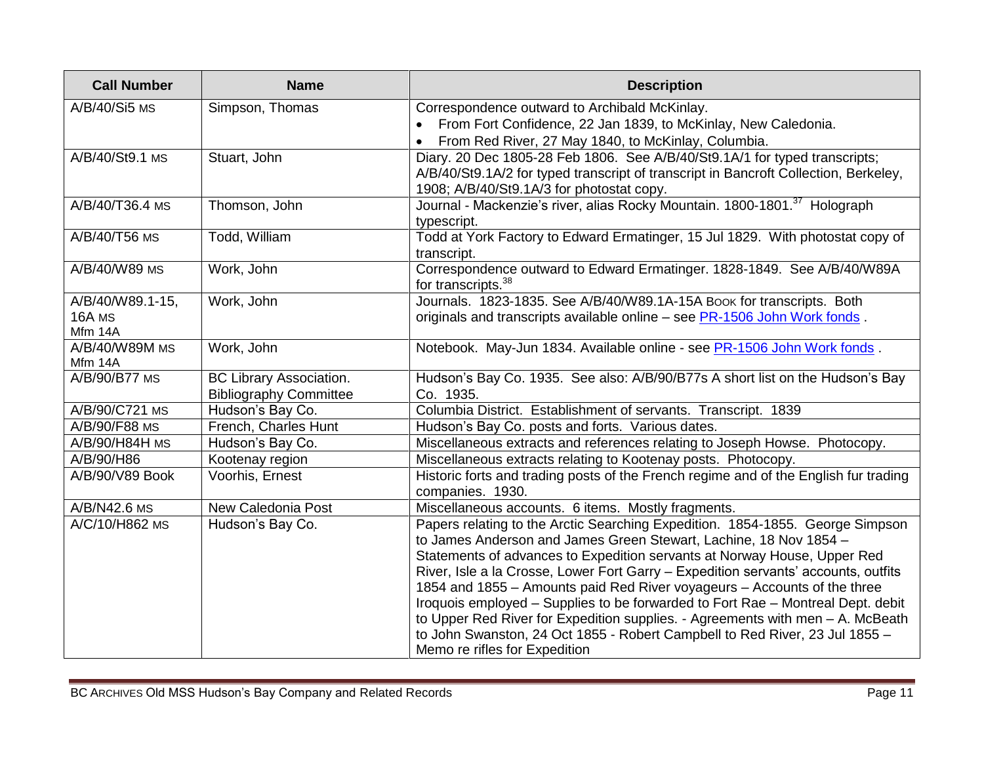| <b>Call Number</b>                    | <b>Name</b>                                                     | <b>Description</b>                                                                                                                                                                                                                                                                                                                                                                                                                                                                                                                                                                                                                                                                    |
|---------------------------------------|-----------------------------------------------------------------|---------------------------------------------------------------------------------------------------------------------------------------------------------------------------------------------------------------------------------------------------------------------------------------------------------------------------------------------------------------------------------------------------------------------------------------------------------------------------------------------------------------------------------------------------------------------------------------------------------------------------------------------------------------------------------------|
| A/B/40/Si5 MS                         | Simpson, Thomas                                                 | Correspondence outward to Archibald McKinlay.<br>From Fort Confidence, 22 Jan 1839, to McKinlay, New Caledonia.<br>From Red River, 27 May 1840, to McKinlay, Columbia.                                                                                                                                                                                                                                                                                                                                                                                                                                                                                                                |
| A/B/40/St9.1 MS                       | Stuart, John                                                    | Diary. 20 Dec 1805-28 Feb 1806. See A/B/40/St9.1A/1 for typed transcripts;<br>A/B/40/St9.1A/2 for typed transcript of transcript in Bancroft Collection, Berkeley,<br>1908; A/B/40/St9.1A/3 for photostat copy.                                                                                                                                                                                                                                                                                                                                                                                                                                                                       |
| A/B/40/T36.4 MS                       | Thomson, John                                                   | Journal - Mackenzie's river, alias Rocky Mountain. 1800-1801. <sup>37</sup> Holograph<br>typescript.                                                                                                                                                                                                                                                                                                                                                                                                                                                                                                                                                                                  |
| A/B/40/T56 MS                         | Todd, William                                                   | Todd at York Factory to Edward Ermatinger, 15 Jul 1829. With photostat copy of<br>transcript.                                                                                                                                                                                                                                                                                                                                                                                                                                                                                                                                                                                         |
| A/B/40/W89 MS                         | Work, John                                                      | Correspondence outward to Edward Ermatinger. 1828-1849. See A/B/40/W89A<br>for transcripts. <sup>38</sup>                                                                                                                                                                                                                                                                                                                                                                                                                                                                                                                                                                             |
| A/B/40/W89.1-15,<br>16A MS<br>Mfm 14A | Work, John                                                      | Journals. 1823-1835. See A/B/40/W89.1A-15A Book for transcripts. Both<br>originals and transcripts available online - see PR-1506 John Work fonds.                                                                                                                                                                                                                                                                                                                                                                                                                                                                                                                                    |
| A/B/40/W89M MS<br>Mfm 14A             | Work, John                                                      | Notebook. May-Jun 1834. Available online - see PR-1506 John Work fonds.                                                                                                                                                                                                                                                                                                                                                                                                                                                                                                                                                                                                               |
| A/B/90/B77 MS                         | <b>BC Library Association.</b><br><b>Bibliography Committee</b> | Hudson's Bay Co. 1935. See also: A/B/90/B77s A short list on the Hudson's Bay<br>Co. 1935.                                                                                                                                                                                                                                                                                                                                                                                                                                                                                                                                                                                            |
| A/B/90/C721 MS                        | Hudson's Bay Co.                                                | Columbia District. Establishment of servants. Transcript. 1839                                                                                                                                                                                                                                                                                                                                                                                                                                                                                                                                                                                                                        |
| A/B/90/F88 MS                         | French, Charles Hunt                                            | Hudson's Bay Co. posts and forts. Various dates.                                                                                                                                                                                                                                                                                                                                                                                                                                                                                                                                                                                                                                      |
| A/B/90/H84H MS                        | Hudson's Bay Co.                                                | Miscellaneous extracts and references relating to Joseph Howse. Photocopy.                                                                                                                                                                                                                                                                                                                                                                                                                                                                                                                                                                                                            |
| A/B/90/H86                            | Kootenay region                                                 | Miscellaneous extracts relating to Kootenay posts. Photocopy.                                                                                                                                                                                                                                                                                                                                                                                                                                                                                                                                                                                                                         |
| A/B/90/V89 Book                       | Voorhis, Ernest                                                 | Historic forts and trading posts of the French regime and of the English fur trading<br>companies. 1930.                                                                                                                                                                                                                                                                                                                                                                                                                                                                                                                                                                              |
| A/B/N42.6 MS                          | New Caledonia Post                                              | Miscellaneous accounts. 6 items. Mostly fragments.                                                                                                                                                                                                                                                                                                                                                                                                                                                                                                                                                                                                                                    |
| A/C/10/H862 MS                        | Hudson's Bay Co.                                                | Papers relating to the Arctic Searching Expedition. 1854-1855. George Simpson<br>to James Anderson and James Green Stewart, Lachine, 18 Nov 1854 -<br>Statements of advances to Expedition servants at Norway House, Upper Red<br>River, Isle a la Crosse, Lower Fort Garry - Expedition servants' accounts, outfits<br>1854 and 1855 - Amounts paid Red River voyageurs - Accounts of the three<br>Iroquois employed - Supplies to be forwarded to Fort Rae - Montreal Dept. debit<br>to Upper Red River for Expedition supplies. - Agreements with men - A. McBeath<br>to John Swanston, 24 Oct 1855 - Robert Campbell to Red River, 23 Jul 1855 -<br>Memo re rifles for Expedition |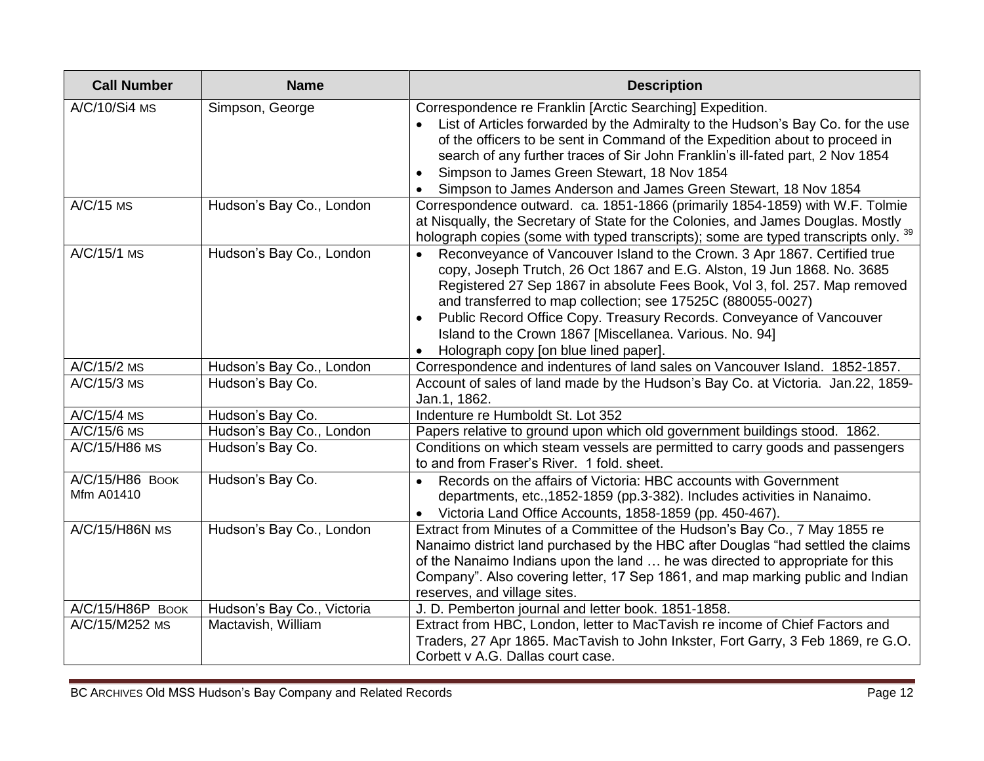| <b>Call Number</b>            | <b>Name</b>                | <b>Description</b>                                                                                                                                                                                                                                                                                                                                                                                                                                                                         |
|-------------------------------|----------------------------|--------------------------------------------------------------------------------------------------------------------------------------------------------------------------------------------------------------------------------------------------------------------------------------------------------------------------------------------------------------------------------------------------------------------------------------------------------------------------------------------|
| A/C/10/Si4 MS                 | Simpson, George            | Correspondence re Franklin [Arctic Searching] Expedition.<br>List of Articles forwarded by the Admiralty to the Hudson's Bay Co. for the use<br>of the officers to be sent in Command of the Expedition about to proceed in<br>search of any further traces of Sir John Franklin's ill-fated part, 2 Nov 1854<br>Simpson to James Green Stewart, 18 Nov 1854<br>Simpson to James Anderson and James Green Stewart, 18 Nov 1854                                                             |
| $A/C/15$ MS                   | Hudson's Bay Co., London   | Correspondence outward. ca. 1851-1866 (primarily 1854-1859) with W.F. Tolmie<br>at Nisqually, the Secretary of State for the Colonies, and James Douglas. Mostly<br>holograph copies (some with typed transcripts); some are typed transcripts only.                                                                                                                                                                                                                                       |
| A/C/15/1 MS                   | Hudson's Bay Co., London   | Reconveyance of Vancouver Island to the Crown. 3 Apr 1867. Certified true<br>copy, Joseph Trutch, 26 Oct 1867 and E.G. Alston, 19 Jun 1868. No. 3685<br>Registered 27 Sep 1867 in absolute Fees Book, Vol 3, fol. 257. Map removed<br>and transferred to map collection; see 17525C (880055-0027)<br>Public Record Office Copy. Treasury Records. Conveyance of Vancouver<br>Island to the Crown 1867 [Miscellanea. Various. No. 94]<br>Holograph copy [on blue lined paper].<br>$\bullet$ |
| A/C/15/2 MS                   | Hudson's Bay Co., London   | Correspondence and indentures of land sales on Vancouver Island. 1852-1857.                                                                                                                                                                                                                                                                                                                                                                                                                |
| A/C/15/3 MS                   | Hudson's Bay Co.           | Account of sales of land made by the Hudson's Bay Co. at Victoria. Jan.22, 1859-<br>Jan.1, 1862.                                                                                                                                                                                                                                                                                                                                                                                           |
| A/C/15/4 MS                   | Hudson's Bay Co.           | Indenture re Humboldt St. Lot 352                                                                                                                                                                                                                                                                                                                                                                                                                                                          |
| A/C/15/6 MS                   | Hudson's Bay Co., London   | Papers relative to ground upon which old government buildings stood. 1862.                                                                                                                                                                                                                                                                                                                                                                                                                 |
| A/C/15/H86 MS                 | Hudson's Bay Co.           | Conditions on which steam vessels are permitted to carry goods and passengers<br>to and from Fraser's River. 1 fold. sheet.                                                                                                                                                                                                                                                                                                                                                                |
| A/C/15/H86 BOOK<br>Mfm A01410 | Hudson's Bay Co.           | Records on the affairs of Victoria: HBC accounts with Government<br>departments, etc., 1852-1859 (pp.3-382). Includes activities in Nanaimo.<br>Victoria Land Office Accounts, 1858-1859 (pp. 450-467).<br>$\bullet$                                                                                                                                                                                                                                                                       |
| A/C/15/H86N MS                | Hudson's Bay Co., London   | Extract from Minutes of a Committee of the Hudson's Bay Co., 7 May 1855 re<br>Nanaimo district land purchased by the HBC after Douglas "had settled the claims<br>of the Nanaimo Indians upon the land  he was directed to appropriate for this<br>Company". Also covering letter, 17 Sep 1861, and map marking public and Indian<br>reserves, and village sites.                                                                                                                          |
| A/C/15/H86P BOOK              | Hudson's Bay Co., Victoria | J. D. Pemberton journal and letter book. 1851-1858.                                                                                                                                                                                                                                                                                                                                                                                                                                        |
| A/C/15/M252 MS                | Mactavish, William         | Extract from HBC, London, letter to MacTavish re income of Chief Factors and<br>Traders, 27 Apr 1865. MacTavish to John Inkster, Fort Garry, 3 Feb 1869, re G.O.<br>Corbett v A.G. Dallas court case.                                                                                                                                                                                                                                                                                      |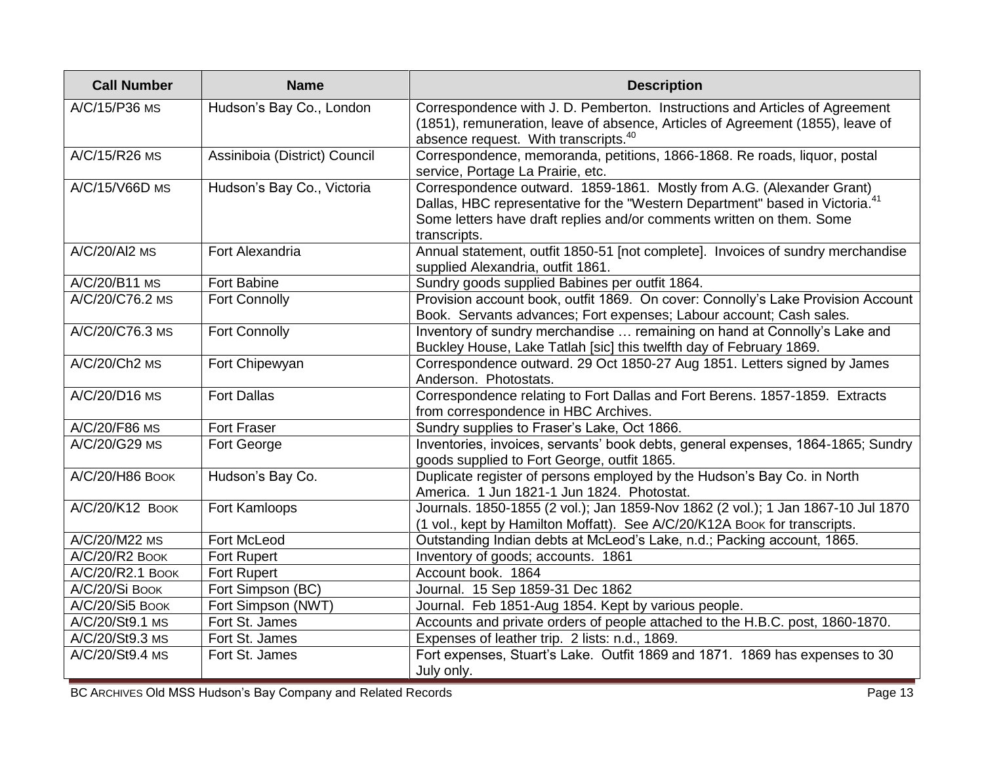| <b>Call Number</b> | <b>Name</b>                   | <b>Description</b>                                                                                                                                                                                                                                         |
|--------------------|-------------------------------|------------------------------------------------------------------------------------------------------------------------------------------------------------------------------------------------------------------------------------------------------------|
| A/C/15/P36 MS      | Hudson's Bay Co., London      | Correspondence with J. D. Pemberton. Instructions and Articles of Agreement<br>(1851), remuneration, leave of absence, Articles of Agreement (1855), leave of<br>absence request. With transcripts. <sup>40</sup>                                          |
| A/C/15/R26 MS      | Assiniboia (District) Council | Correspondence, memoranda, petitions, 1866-1868. Re roads, liquor, postal<br>service, Portage La Prairie, etc.                                                                                                                                             |
| A/C/15/V66D MS     | Hudson's Bay Co., Victoria    | Correspondence outward. 1859-1861. Mostly from A.G. (Alexander Grant)<br>Dallas, HBC representative for the "Western Department" based in Victoria. <sup>41</sup><br>Some letters have draft replies and/or comments written on them. Some<br>transcripts. |
| A/C/20/Al2 MS      | Fort Alexandria               | Annual statement, outfit 1850-51 [not complete]. Invoices of sundry merchandise<br>supplied Alexandria, outfit 1861.                                                                                                                                       |
| A/C/20/B11 MS      | Fort Babine                   | Sundry goods supplied Babines per outfit 1864.                                                                                                                                                                                                             |
| A/C/20/C76.2 MS    | <b>Fort Connolly</b>          | Provision account book, outfit 1869. On cover: Connolly's Lake Provision Account<br>Book. Servants advances; Fort expenses; Labour account; Cash sales.                                                                                                    |
| A/C/20/C76.3 MS    | <b>Fort Connolly</b>          | Inventory of sundry merchandise  remaining on hand at Connolly's Lake and<br>Buckley House, Lake Tatlah [sic] this twelfth day of February 1869.                                                                                                           |
| A/C/20/Ch2 MS      | Fort Chipewyan                | Correspondence outward. 29 Oct 1850-27 Aug 1851. Letters signed by James<br>Anderson. Photostats.                                                                                                                                                          |
| A/C/20/D16 MS      | <b>Fort Dallas</b>            | Correspondence relating to Fort Dallas and Fort Berens. 1857-1859. Extracts<br>from correspondence in HBC Archives.                                                                                                                                        |
| A/C/20/F86 MS      | <b>Fort Fraser</b>            | Sundry supplies to Fraser's Lake, Oct 1866.                                                                                                                                                                                                                |
| A/C/20/G29 MS      | Fort George                   | Inventories, invoices, servants' book debts, general expenses, 1864-1865; Sundry<br>goods supplied to Fort George, outfit 1865.                                                                                                                            |
| A/C/20/H86 BOOK    | Hudson's Bay Co.              | Duplicate register of persons employed by the Hudson's Bay Co. in North<br>America. 1 Jun 1821-1 Jun 1824. Photostat.                                                                                                                                      |
| A/C/20/K12 Воок    | Fort Kamloops                 | Journals. 1850-1855 (2 vol.); Jan 1859-Nov 1862 (2 vol.); 1 Jan 1867-10 Jul 1870<br>(1 vol., kept by Hamilton Moffatt). See A/C/20/K12A Book for transcripts.                                                                                              |
| A/C/20/M22 MS      | Fort McLeod                   | Outstanding Indian debts at McLeod's Lake, n.d.; Packing account, 1865.                                                                                                                                                                                    |
| A/C/20/R2 BOOK     | <b>Fort Rupert</b>            | Inventory of goods; accounts. 1861                                                                                                                                                                                                                         |
| A/C/20/R2.1 BOOK   | <b>Fort Rupert</b>            | Account book. 1864                                                                                                                                                                                                                                         |
| A/C/20/Si Book     | Fort Simpson (BC)             | Journal. 15 Sep 1859-31 Dec 1862                                                                                                                                                                                                                           |
| A/C/20/Si5 BOOK    | Fort Simpson (NWT)            | Journal. Feb 1851-Aug 1854. Kept by various people.                                                                                                                                                                                                        |
| A/C/20/St9.1 MS    | Fort St. James                | Accounts and private orders of people attached to the H.B.C. post, 1860-1870.                                                                                                                                                                              |
| A/C/20/St9.3 MS    | Fort St. James                | Expenses of leather trip. 2 lists: n.d., 1869.                                                                                                                                                                                                             |
| A/C/20/St9.4 MS    | Fort St. James                | Fort expenses, Stuart's Lake. Outfit 1869 and 1871. 1869 has expenses to 30<br>July only.                                                                                                                                                                  |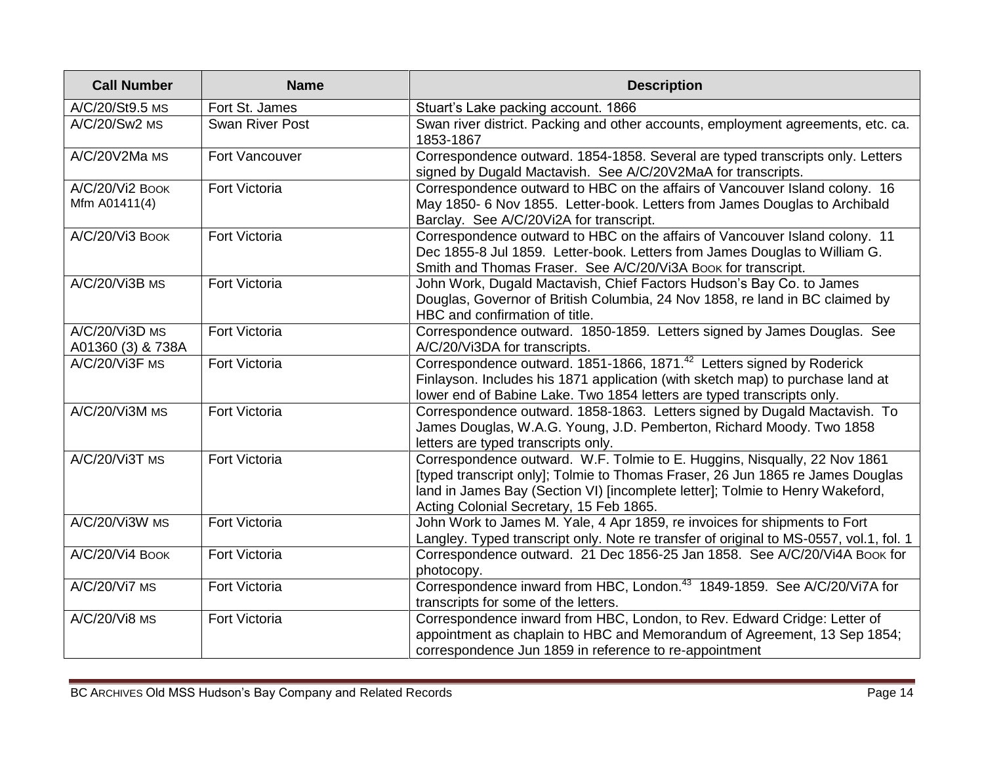| <b>Call Number</b>                  | <b>Name</b>            | <b>Description</b>                                                                                                                                                                                                                                                                      |
|-------------------------------------|------------------------|-----------------------------------------------------------------------------------------------------------------------------------------------------------------------------------------------------------------------------------------------------------------------------------------|
| A/C/20/St9.5 MS                     | Fort St. James         | Stuart's Lake packing account. 1866                                                                                                                                                                                                                                                     |
| A/C/20/Sw2 MS                       | <b>Swan River Post</b> | Swan river district. Packing and other accounts, employment agreements, etc. ca.<br>1853-1867                                                                                                                                                                                           |
| A/C/20V2Ma MS                       | Fort Vancouver         | Correspondence outward. 1854-1858. Several are typed transcripts only. Letters<br>signed by Dugald Mactavish. See A/C/20V2MaA for transcripts.                                                                                                                                          |
| A/C/20/Vi2 BOOK<br>Mfm A01411(4)    | <b>Fort Victoria</b>   | Correspondence outward to HBC on the affairs of Vancouver Island colony. 16<br>May 1850- 6 Nov 1855. Letter-book. Letters from James Douglas to Archibald<br>Barclay. See A/C/20Vi2A for transcript.                                                                                    |
| A/C/20/Vi3 Book                     | Fort Victoria          | Correspondence outward to HBC on the affairs of Vancouver Island colony. 11<br>Dec 1855-8 Jul 1859. Letter-book. Letters from James Douglas to William G.<br>Smith and Thomas Fraser. See A/C/20/Vi3A Book for transcript.                                                              |
| A/C/20/Vi3B MS                      | Fort Victoria          | John Work, Dugald Mactavish, Chief Factors Hudson's Bay Co. to James<br>Douglas, Governor of British Columbia, 24 Nov 1858, re land in BC claimed by<br>HBC and confirmation of title.                                                                                                  |
| A/C/20/Vi3D MS<br>A01360 (3) & 738A | <b>Fort Victoria</b>   | Correspondence outward. 1850-1859. Letters signed by James Douglas. See<br>A/C/20/Vi3DA for transcripts.                                                                                                                                                                                |
| A/C/20/Vi3F MS                      | <b>Fort Victoria</b>   | Correspondence outward. 1851-1866, 1871. <sup>42</sup> Letters signed by Roderick<br>Finlayson. Includes his 1871 application (with sketch map) to purchase land at<br>lower end of Babine Lake. Two 1854 letters are typed transcripts only.                                           |
| A/C/20/Vi3M MS                      | Fort Victoria          | Correspondence outward. 1858-1863. Letters signed by Dugald Mactavish. To<br>James Douglas, W.A.G. Young, J.D. Pemberton, Richard Moody. Two 1858<br>letters are typed transcripts only.                                                                                                |
| A/C/20/Vi3T MS                      | Fort Victoria          | Correspondence outward. W.F. Tolmie to E. Huggins, Nisqually, 22 Nov 1861<br>[typed transcript only]; Tolmie to Thomas Fraser, 26 Jun 1865 re James Douglas<br>land in James Bay (Section VI) [incomplete letter]; Tolmie to Henry Wakeford,<br>Acting Colonial Secretary, 15 Feb 1865. |
| A/C/20/Vi3W MS                      | Fort Victoria          | John Work to James M. Yale, 4 Apr 1859, re invoices for shipments to Fort<br>Langley. Typed transcript only. Note re transfer of original to MS-0557, vol.1, fol. 1                                                                                                                     |
| A/C/20/Vi4 Book                     | Fort Victoria          | Correspondence outward. 21 Dec 1856-25 Jan 1858. See A/C/20/Vi4A Book for<br>photocopy.                                                                                                                                                                                                 |
| A/C/20/Vi7 MS                       | <b>Fort Victoria</b>   | Correspondence inward from HBC, London. <sup>43</sup> 1849-1859. See A/C/20/Vi7A for<br>transcripts for some of the letters.                                                                                                                                                            |
| A/C/20/Vi8 MS                       | Fort Victoria          | Correspondence inward from HBC, London, to Rev. Edward Cridge: Letter of<br>appointment as chaplain to HBC and Memorandum of Agreement, 13 Sep 1854;<br>correspondence Jun 1859 in reference to re-appointment                                                                          |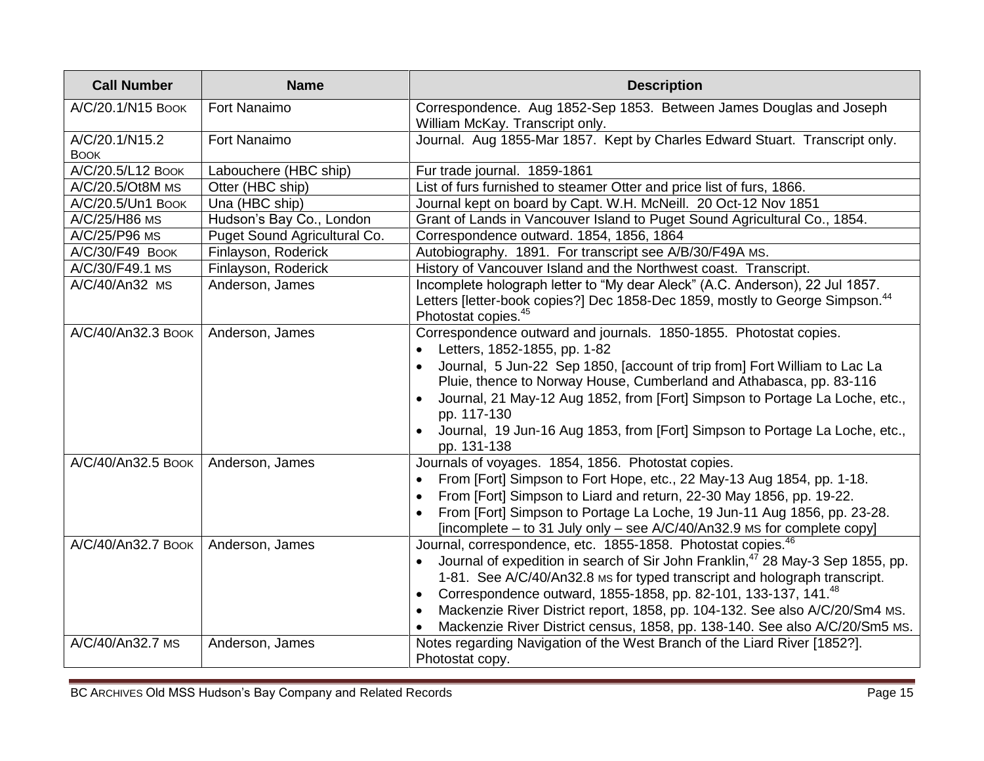| <b>Call Number</b>            | <b>Name</b>                  | <b>Description</b>                                                                                                                                                                                                                                                                                                                                                                                                                                                                                            |
|-------------------------------|------------------------------|---------------------------------------------------------------------------------------------------------------------------------------------------------------------------------------------------------------------------------------------------------------------------------------------------------------------------------------------------------------------------------------------------------------------------------------------------------------------------------------------------------------|
| A/C/20.1/N15 BOOK             | Fort Nanaimo                 | Correspondence. Aug 1852-Sep 1853. Between James Douglas and Joseph<br>William McKay. Transcript only.                                                                                                                                                                                                                                                                                                                                                                                                        |
| A/C/20.1/N15.2<br><b>BOOK</b> | Fort Nanaimo                 | Journal. Aug 1855-Mar 1857. Kept by Charles Edward Stuart. Transcript only.                                                                                                                                                                                                                                                                                                                                                                                                                                   |
| A/C/20.5/L12 BOOK             | Labouchere (HBC ship)        | Fur trade journal. 1859-1861                                                                                                                                                                                                                                                                                                                                                                                                                                                                                  |
| A/C/20.5/Ot8M MS              | Otter (HBC ship)             | List of furs furnished to steamer Otter and price list of furs, 1866.                                                                                                                                                                                                                                                                                                                                                                                                                                         |
| A/C/20.5/Un1 Book             | Una (HBC ship)               | Journal kept on board by Capt. W.H. McNeill. 20 Oct-12 Nov 1851                                                                                                                                                                                                                                                                                                                                                                                                                                               |
| A/C/25/H86 MS                 | Hudson's Bay Co., London     | Grant of Lands in Vancouver Island to Puget Sound Agricultural Co., 1854.                                                                                                                                                                                                                                                                                                                                                                                                                                     |
| A/C/25/P96 MS                 | Puget Sound Agricultural Co. | Correspondence outward. 1854, 1856, 1864                                                                                                                                                                                                                                                                                                                                                                                                                                                                      |
| A/C/30/F49 BOOK               | Finlayson, Roderick          | Autobiography. 1891. For transcript see A/B/30/F49A MS.                                                                                                                                                                                                                                                                                                                                                                                                                                                       |
| A/C/30/F49.1 MS               | Finlayson, Roderick          | History of Vancouver Island and the Northwest coast. Transcript.                                                                                                                                                                                                                                                                                                                                                                                                                                              |
| A/C/40/An32 MS                | Anderson, James              | Incomplete holograph letter to "My dear Aleck" (A.C. Anderson), 22 Jul 1857.<br>Letters [letter-book copies?] Dec 1858-Dec 1859, mostly to George Simpson. <sup>44</sup><br>Photostat copies. <sup>45</sup>                                                                                                                                                                                                                                                                                                   |
| A/C/40/An32.3 BOOK            | Anderson, James              | Correspondence outward and journals. 1850-1855. Photostat copies.<br>Letters, 1852-1855, pp. 1-82<br>Journal, 5 Jun-22 Sep 1850, [account of trip from] Fort William to Lac La<br>Pluie, thence to Norway House, Cumberland and Athabasca, pp. 83-116<br>Journal, 21 May-12 Aug 1852, from [Fort] Simpson to Portage La Loche, etc.,<br>pp. 117-130<br>Journal, 19 Jun-16 Aug 1853, from [Fort] Simpson to Portage La Loche, etc.,<br>pp. 131-138                                                             |
| A/C/40/An32.5 Book            | Anderson, James              | Journals of voyages. 1854, 1856. Photostat copies.<br>From [Fort] Simpson to Fort Hope, etc., 22 May-13 Aug 1854, pp. 1-18.<br>From [Fort] Simpson to Liard and return, 22-30 May 1856, pp. 19-22.<br>From [Fort] Simpson to Portage La Loche, 19 Jun-11 Aug 1856, pp. 23-28.<br>[incomplete – to 31 July only – see A/C/40/An32.9 MS for complete copy]                                                                                                                                                      |
| A/C/40/An32.7 Book            | Anderson, James              | Journal, correspondence, etc. 1855-1858. Photostat copies. <sup>46</sup><br>Journal of expedition in search of Sir John Franklin, <sup>47</sup> 28 May-3 Sep 1855, pp.<br>$\bullet$<br>1-81. See A/C/40/An32.8 Ms for typed transcript and holograph transcript.<br>Correspondence outward, 1855-1858, pp. 82-101, 133-137, 141.48<br>$\bullet$<br>Mackenzie River District report, 1858, pp. 104-132. See also A/C/20/Sm4 MS.<br>Mackenzie River District census, 1858, pp. 138-140. See also A/C/20/Sm5 Ms. |
| A/C/40/An32.7 MS              | Anderson, James              | Notes regarding Navigation of the West Branch of the Liard River [1852?].<br>Photostat copy.                                                                                                                                                                                                                                                                                                                                                                                                                  |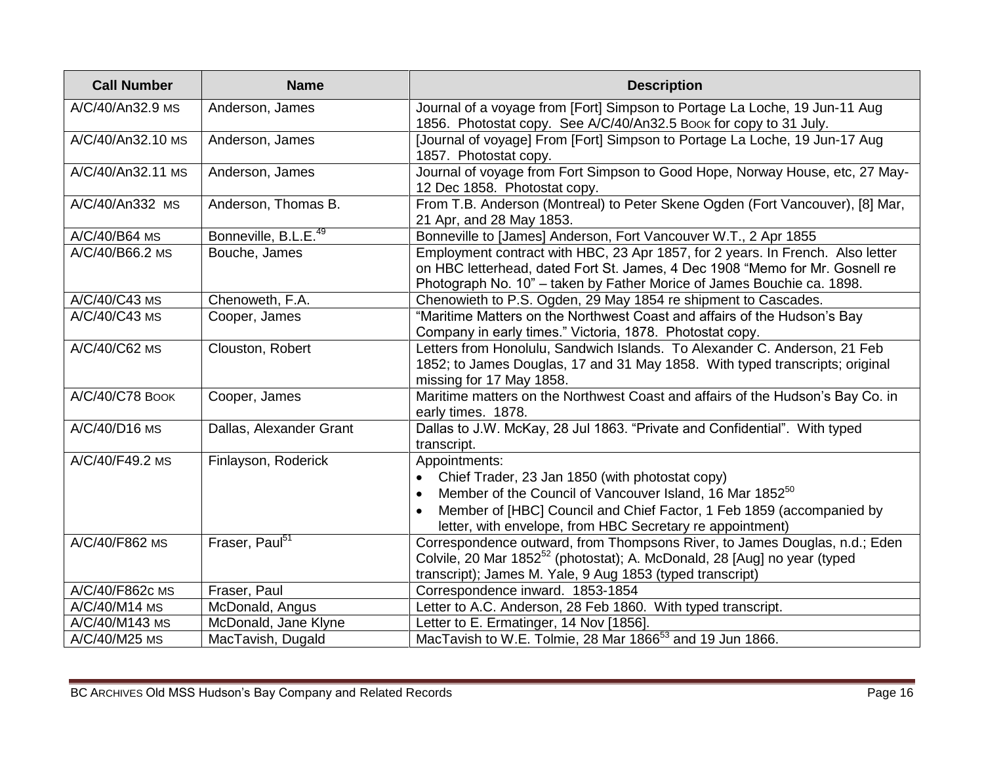| <b>Call Number</b> | <b>Name</b>                      | <b>Description</b>                                                                                                                                                                                                                                                                         |
|--------------------|----------------------------------|--------------------------------------------------------------------------------------------------------------------------------------------------------------------------------------------------------------------------------------------------------------------------------------------|
| A/C/40/An32.9 MS   | Anderson, James                  | Journal of a voyage from [Fort] Simpson to Portage La Loche, 19 Jun-11 Aug<br>1856. Photostat copy. See A/C/40/An32.5 Book for copy to 31 July.                                                                                                                                            |
| A/C/40/An32.10 MS  | Anderson, James                  | [Journal of voyage] From [Fort] Simpson to Portage La Loche, 19 Jun-17 Aug<br>1857. Photostat copy.                                                                                                                                                                                        |
| A/C/40/An32.11 MS  | Anderson, James                  | Journal of voyage from Fort Simpson to Good Hope, Norway House, etc, 27 May-<br>12 Dec 1858. Photostat copy.                                                                                                                                                                               |
| A/C/40/An332 MS    | Anderson, Thomas B.              | From T.B. Anderson (Montreal) to Peter Skene Ogden (Fort Vancouver), [8] Mar,<br>21 Apr, and 28 May 1853.                                                                                                                                                                                  |
| A/C/40/B64 MS      | Bonneville, B.L.E. <sup>49</sup> | Bonneville to [James] Anderson, Fort Vancouver W.T., 2 Apr 1855                                                                                                                                                                                                                            |
| A/C/40/B66.2 MS    | Bouche, James                    | Employment contract with HBC, 23 Apr 1857, for 2 years. In French. Also letter<br>on HBC letterhead, dated Fort St. James, 4 Dec 1908 "Memo for Mr. Gosnell re<br>Photograph No. 10" - taken by Father Morice of James Bouchie ca. 1898.                                                   |
| A/C/40/C43 MS      | Chenoweth, F.A.                  | Chenowieth to P.S. Ogden, 29 May 1854 re shipment to Cascades.                                                                                                                                                                                                                             |
| A/C/40/C43 MS      | Cooper, James                    | "Maritime Matters on the Northwest Coast and affairs of the Hudson's Bay<br>Company in early times." Victoria, 1878. Photostat copy.                                                                                                                                                       |
| A/C/40/C62 MS      | Clouston, Robert                 | Letters from Honolulu, Sandwich Islands. To Alexander C. Anderson, 21 Feb<br>1852; to James Douglas, 17 and 31 May 1858. With typed transcripts; original<br>missing for 17 May 1858.                                                                                                      |
| A/C/40/C78 BOOK    | Cooper, James                    | Maritime matters on the Northwest Coast and affairs of the Hudson's Bay Co. in<br>early times. 1878.                                                                                                                                                                                       |
| A/C/40/D16 MS      | Dallas, Alexander Grant          | Dallas to J.W. McKay, 28 Jul 1863. "Private and Confidential". With typed<br>transcript.                                                                                                                                                                                                   |
| A/C/40/F49.2 MS    | Finlayson, Roderick              | Appointments:<br>Chief Trader, 23 Jan 1850 (with photostat copy)<br>$\bullet$<br>Member of the Council of Vancouver Island, 16 Mar 1852 <sup>50</sup><br>Member of [HBC] Council and Chief Factor, 1 Feb 1859 (accompanied by<br>letter, with envelope, from HBC Secretary re appointment) |
| A/C/40/F862 MS     | Fraser, Paul <sup>51</sup>       | Correspondence outward, from Thompsons River, to James Douglas, n.d.; Eden<br>Colvile, 20 Mar 1852 <sup>52</sup> (photostat); A. McDonald, 28 [Aug] no year (typed<br>transcript); James M. Yale, 9 Aug 1853 (typed transcript)                                                            |
| A/C/40/F862c MS    | Fraser, Paul                     | Correspondence inward. 1853-1854                                                                                                                                                                                                                                                           |
| A/C/40/M14 MS      | McDonald, Angus                  | Letter to A.C. Anderson, 28 Feb 1860. With typed transcript.                                                                                                                                                                                                                               |
| A/C/40/M143 MS     | McDonald, Jane Klyne             | Letter to E. Ermatinger, 14 Nov [1856].                                                                                                                                                                                                                                                    |
| A/C/40/M25 MS      | MacTavish, Dugald                | MacTavish to W.E. Tolmie, 28 Mar 1866 <sup>53</sup> and 19 Jun 1866.                                                                                                                                                                                                                       |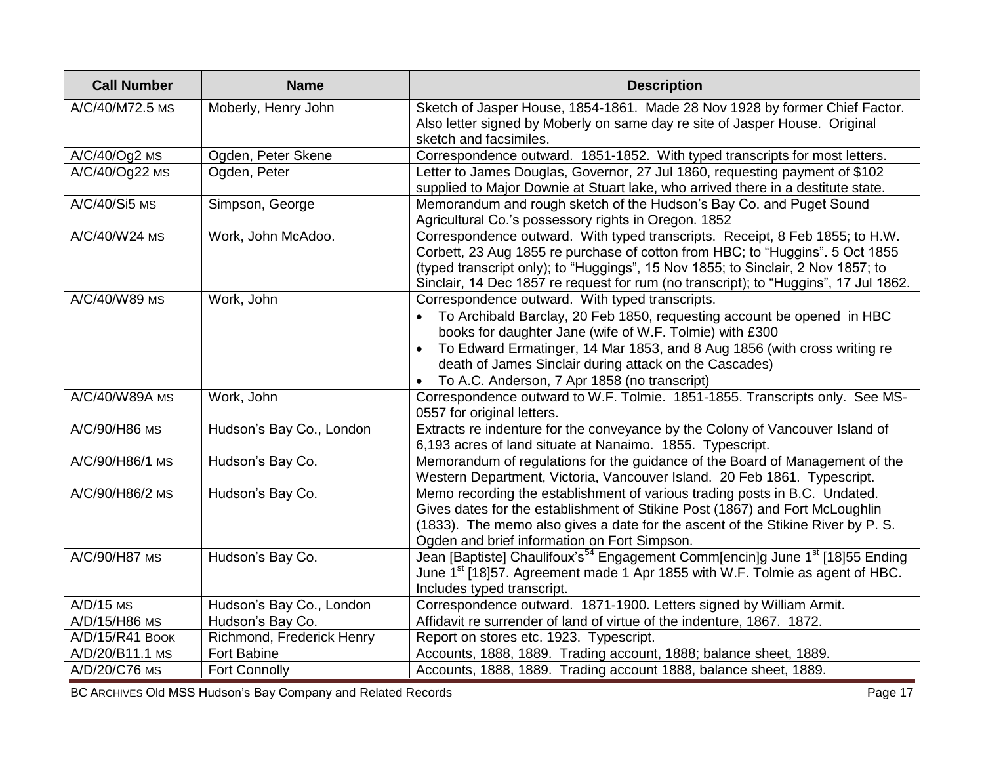| <b>Call Number</b> | <b>Name</b>               | <b>Description</b>                                                                                                                                                                                                                                                                                                                                                         |
|--------------------|---------------------------|----------------------------------------------------------------------------------------------------------------------------------------------------------------------------------------------------------------------------------------------------------------------------------------------------------------------------------------------------------------------------|
| A/C/40/M72.5 MS    | Moberly, Henry John       | Sketch of Jasper House, 1854-1861. Made 28 Nov 1928 by former Chief Factor.<br>Also letter signed by Moberly on same day re site of Jasper House. Original<br>sketch and facsimiles.                                                                                                                                                                                       |
| $A/C/40/Qg2$ MS    | Ogden, Peter Skene        | Correspondence outward. 1851-1852. With typed transcripts for most letters.                                                                                                                                                                                                                                                                                                |
| A/C/40/Og22 MS     | Ogden, Peter              | Letter to James Douglas, Governor, 27 Jul 1860, requesting payment of \$102<br>supplied to Major Downie at Stuart lake, who arrived there in a destitute state.                                                                                                                                                                                                            |
| A/C/40/Si5 MS      | Simpson, George           | Memorandum and rough sketch of the Hudson's Bay Co. and Puget Sound<br>Agricultural Co.'s possessory rights in Oregon. 1852                                                                                                                                                                                                                                                |
| A/C/40/W24 MS      | Work, John McAdoo.        | Correspondence outward. With typed transcripts. Receipt, 8 Feb 1855; to H.W.<br>Corbett, 23 Aug 1855 re purchase of cotton from HBC; to "Huggins". 5 Oct 1855<br>(typed transcript only); to "Huggings", 15 Nov 1855; to Sinclair, 2 Nov 1857; to<br>Sinclair, 14 Dec 1857 re request for rum (no transcript); to "Huggins", 17 Jul 1862.                                  |
| A/C/40/W89 MS      | Work, John                | Correspondence outward. With typed transcripts.<br>To Archibald Barclay, 20 Feb 1850, requesting account be opened in HBC<br>books for daughter Jane (wife of W.F. Tolmie) with £300<br>To Edward Ermatinger, 14 Mar 1853, and 8 Aug 1856 (with cross writing re<br>death of James Sinclair during attack on the Cascades)<br>To A.C. Anderson, 7 Apr 1858 (no transcript) |
| A/C/40/W89A MS     | Work, John                | Correspondence outward to W.F. Tolmie. 1851-1855. Transcripts only. See MS-<br>0557 for original letters.                                                                                                                                                                                                                                                                  |
| A/C/90/H86 MS      | Hudson's Bay Co., London  | Extracts re indenture for the conveyance by the Colony of Vancouver Island of<br>6,193 acres of land situate at Nanaimo. 1855. Typescript.                                                                                                                                                                                                                                 |
| A/C/90/H86/1 MS    | Hudson's Bay Co.          | Memorandum of regulations for the guidance of the Board of Management of the<br>Western Department, Victoria, Vancouver Island. 20 Feb 1861. Typescript.                                                                                                                                                                                                                   |
| A/C/90/H86/2 MS    | Hudson's Bay Co.          | Memo recording the establishment of various trading posts in B.C. Undated.<br>Gives dates for the establishment of Stikine Post (1867) and Fort McLoughlin<br>(1833). The memo also gives a date for the ascent of the Stikine River by P. S.<br>Ogden and brief information on Fort Simpson.                                                                              |
| A/C/90/H87 MS      | Hudson's Bay Co.          | Jean [Baptiste] Chaulifoux's <sup>54</sup> Engagement Comm[encin]g June 1 <sup>st</sup> [18]55 Ending<br>June 1 <sup>st</sup> [18]57. Agreement made 1 Apr 1855 with W.F. Tolmie as agent of HBC.<br>Includes typed transcript.                                                                                                                                            |
| $A/D/15$ MS        | Hudson's Bay Co., London  | Correspondence outward. 1871-1900. Letters signed by William Armit.                                                                                                                                                                                                                                                                                                        |
| A/D/15/H86 MS      | Hudson's Bay Co.          | Affidavit re surrender of land of virtue of the indenture, 1867. 1872.                                                                                                                                                                                                                                                                                                     |
| A/D/15/R41 Book    | Richmond, Frederick Henry | Report on stores etc. 1923. Typescript.                                                                                                                                                                                                                                                                                                                                    |
| A/D/20/B11.1 MS    | <b>Fort Babine</b>        | Accounts, 1888, 1889. Trading account, 1888; balance sheet, 1889.                                                                                                                                                                                                                                                                                                          |
| A/D/20/C76 MS      | <b>Fort Connolly</b>      | Accounts, 1888, 1889. Trading account 1888, balance sheet, 1889.                                                                                                                                                                                                                                                                                                           |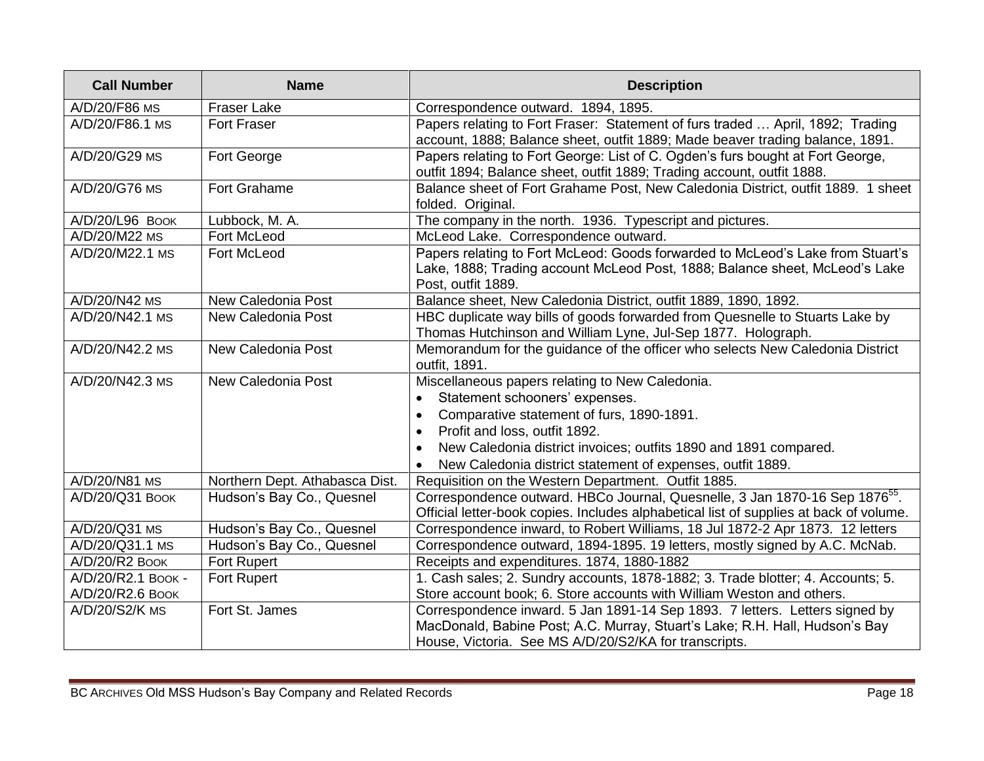| <b>Call Number</b> | <b>Name</b>                    | <b>Description</b>                                                                                                                                                                  |
|--------------------|--------------------------------|-------------------------------------------------------------------------------------------------------------------------------------------------------------------------------------|
| A/D/20/F86 MS      | <b>Fraser Lake</b>             | Correspondence outward. 1894, 1895.                                                                                                                                                 |
| A/D/20/F86.1 MS    | Fort Fraser                    | Papers relating to Fort Fraser: Statement of furs traded  April, 1892; Trading<br>account, 1888; Balance sheet, outfit 1889; Made beaver trading balance, 1891.                     |
| A/D/20/G29 MS      | Fort George                    | Papers relating to Fort George: List of C. Ogden's furs bought at Fort George,<br>outfit 1894; Balance sheet, outfit 1889; Trading account, outfit 1888.                            |
| A/D/20/G76 MS      | <b>Fort Grahame</b>            | Balance sheet of Fort Grahame Post, New Caledonia District, outfit 1889. 1 sheet<br>folded. Original.                                                                               |
| A/D/20/L96 BOOK    | Lubbock, M. A.                 | The company in the north. 1936. Typescript and pictures.                                                                                                                            |
| A/D/20/M22 MS      | Fort McLeod                    | McLeod Lake. Correspondence outward.                                                                                                                                                |
| A/D/20/M22.1 MS    | Fort McLeod                    | Papers relating to Fort McLeod: Goods forwarded to McLeod's Lake from Stuart's<br>Lake, 1888; Trading account McLeod Post, 1888; Balance sheet, McLeod's Lake<br>Post, outfit 1889. |
| A/D/20/N42 MS      | New Caledonia Post             | Balance sheet, New Caledonia District, outfit 1889, 1890, 1892.                                                                                                                     |
| A/D/20/N42.1 MS    | New Caledonia Post             | HBC duplicate way bills of goods forwarded from Quesnelle to Stuarts Lake by<br>Thomas Hutchinson and William Lyne, Jul-Sep 1877. Holograph.                                        |
| A/D/20/N42.2 MS    | New Caledonia Post             | Memorandum for the guidance of the officer who selects New Caledonia District<br>outfit, 1891.                                                                                      |
| A/D/20/N42.3 MS    | New Caledonia Post             | Miscellaneous papers relating to New Caledonia.                                                                                                                                     |
|                    |                                | Statement schooners' expenses.                                                                                                                                                      |
|                    |                                | Comparative statement of furs, 1890-1891.<br>$\bullet$                                                                                                                              |
|                    |                                | Profit and loss, outfit 1892.<br>$\bullet$                                                                                                                                          |
|                    |                                | New Caledonia district invoices; outfits 1890 and 1891 compared.                                                                                                                    |
|                    |                                | New Caledonia district statement of expenses, outfit 1889.                                                                                                                          |
| A/D/20/N81 MS      | Northern Dept. Athabasca Dist. | Requisition on the Western Department. Outfit 1885.                                                                                                                                 |
| A/D/20/Q31 BOOK    | Hudson's Bay Co., Quesnel      | Correspondence outward. HBCo Journal, Quesnelle, 3 Jan 1870-16 Sep 1876 <sup>55</sup> .<br>Official letter-book copies. Includes alphabetical list of supplies at back of volume.   |
| A/D/20/Q31 MS      | Hudson's Bay Co., Quesnel      | Correspondence inward, to Robert Williams, 18 Jul 1872-2 Apr 1873. 12 letters                                                                                                       |
| A/D/20/Q31.1 MS    | Hudson's Bay Co., Quesnel      | Correspondence outward, 1894-1895. 19 letters, mostly signed by A.C. McNab.                                                                                                         |
| A/D/20/R2 BOOK     | <b>Fort Rupert</b>             | Receipts and expenditures. 1874, 1880-1882                                                                                                                                          |
| A/D/20/R2.1 Book - | <b>Fort Rupert</b>             | 1. Cash sales; 2. Sundry accounts, 1878-1882; 3. Trade blotter; 4. Accounts; 5.                                                                                                     |
| A/D/20/R2.6 BOOK   |                                | Store account book; 6. Store accounts with William Weston and others.                                                                                                               |
| A/D/20/S2/K MS     | Fort St. James                 | Correspondence inward. 5 Jan 1891-14 Sep 1893. 7 letters. Letters signed by                                                                                                         |
|                    |                                | MacDonald, Babine Post; A.C. Murray, Stuart's Lake; R.H. Hall, Hudson's Bay                                                                                                         |
|                    |                                | House, Victoria. See MS A/D/20/S2/KA for transcripts.                                                                                                                               |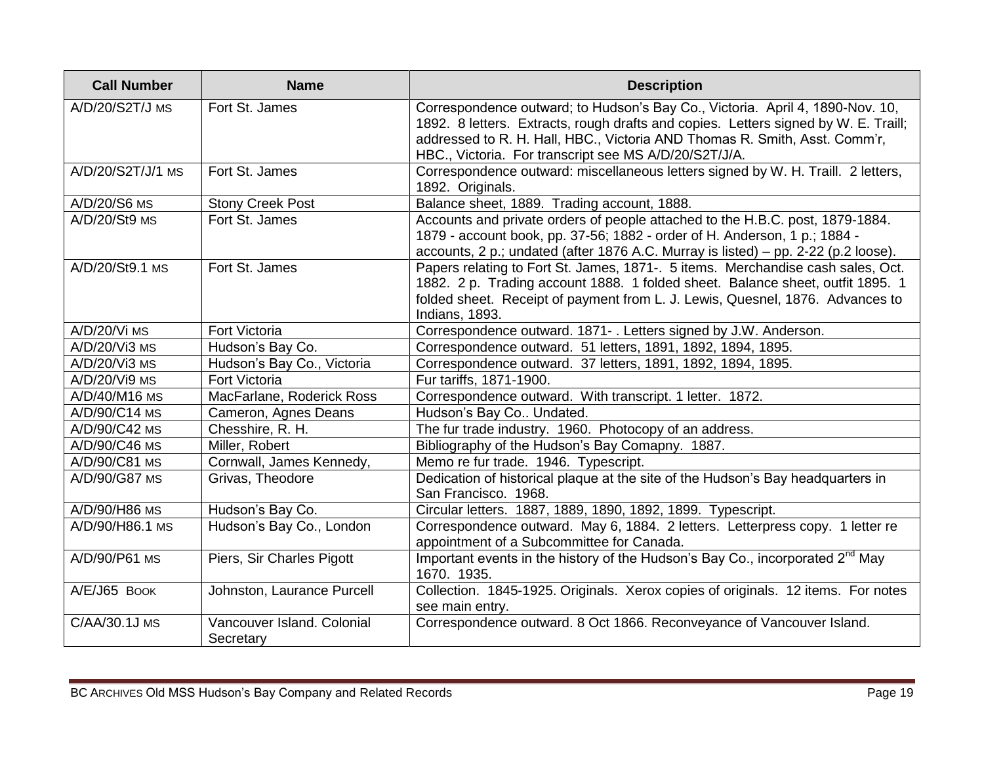| <b>Call Number</b> | <b>Name</b>                             | <b>Description</b>                                                                                                                                                                                                                                                                                          |
|--------------------|-----------------------------------------|-------------------------------------------------------------------------------------------------------------------------------------------------------------------------------------------------------------------------------------------------------------------------------------------------------------|
| A/D/20/S2T/J MS    | Fort St. James                          | Correspondence outward; to Hudson's Bay Co., Victoria. April 4, 1890-Nov. 10,<br>1892. 8 letters. Extracts, rough drafts and copies. Letters signed by W. E. Traill;<br>addressed to R. H. Hall, HBC., Victoria AND Thomas R. Smith, Asst. Comm'r,<br>HBC., Victoria. For transcript see MS A/D/20/S2T/J/A. |
| A/D/20/S2T/J/1 MS  | Fort St. James                          | Correspondence outward: miscellaneous letters signed by W. H. Traill. 2 letters,<br>1892. Originals.                                                                                                                                                                                                        |
| A/D/20/S6 MS       | <b>Stony Creek Post</b>                 | Balance sheet, 1889. Trading account, 1888.                                                                                                                                                                                                                                                                 |
| $A/D/20/St9$ MS    | Fort St. James                          | Accounts and private orders of people attached to the H.B.C. post, 1879-1884.<br>1879 - account book, pp. 37-56; 1882 - order of H. Anderson, 1 p.; 1884 -<br>accounts, 2 p.; undated (after 1876 A.C. Murray is listed) – pp. 2-22 (p.2 loose).                                                            |
| A/D/20/St9.1 MS    | Fort St. James                          | Papers relating to Fort St. James, 1871-. 5 items. Merchandise cash sales, Oct.<br>1882. 2 p. Trading account 1888. 1 folded sheet. Balance sheet, outfit 1895. 1<br>folded sheet. Receipt of payment from L. J. Lewis, Quesnel, 1876. Advances to<br>Indians, 1893.                                        |
| A/D/20/Vi MS       | Fort Victoria                           | Correspondence outward. 1871-. Letters signed by J.W. Anderson.                                                                                                                                                                                                                                             |
| A/D/20/Vi3 MS      | Hudson's Bay Co.                        | Correspondence outward. 51 letters, 1891, 1892, 1894, 1895.                                                                                                                                                                                                                                                 |
| A/D/20/Vi3 MS      | Hudson's Bay Co., Victoria              | Correspondence outward. 37 letters, 1891, 1892, 1894, 1895.                                                                                                                                                                                                                                                 |
| $A/D/20/Vi9$ MS    | <b>Fort Victoria</b>                    | Fur tariffs, 1871-1900.                                                                                                                                                                                                                                                                                     |
| A/D/40/M16 MS      | MacFarlane, Roderick Ross               | Correspondence outward. With transcript. 1 letter. 1872.                                                                                                                                                                                                                                                    |
| A/D/90/C14 MS      | Cameron, Agnes Deans                    | Hudson's Bay Co Undated.                                                                                                                                                                                                                                                                                    |
| A/D/90/C42 MS      | Chesshire, R. H.                        | The fur trade industry. 1960. Photocopy of an address.                                                                                                                                                                                                                                                      |
| A/D/90/C46 MS      | Miller, Robert                          | Bibliography of the Hudson's Bay Comapny. 1887.                                                                                                                                                                                                                                                             |
| A/D/90/C81 MS      | Cornwall, James Kennedy,                | Memo re fur trade. 1946. Typescript.                                                                                                                                                                                                                                                                        |
| A/D/90/G87 MS      | Grivas, Theodore                        | Dedication of historical plaque at the site of the Hudson's Bay headquarters in<br>San Francisco. 1968.                                                                                                                                                                                                     |
| A/D/90/H86 MS      | Hudson's Bay Co.                        | Circular letters. 1887, 1889, 1890, 1892, 1899. Typescript.                                                                                                                                                                                                                                                 |
| A/D/90/H86.1 MS    | Hudson's Bay Co., London                | Correspondence outward. May 6, 1884. 2 letters. Letterpress copy. 1 letter re<br>appointment of a Subcommittee for Canada.                                                                                                                                                                                  |
| A/D/90/P61 MS      | Piers, Sir Charles Pigott               | Important events in the history of the Hudson's Bay Co., incorporated 2 <sup>nd</sup> May<br>1670. 1935.                                                                                                                                                                                                    |
| A/E/J65 BOOK       | Johnston, Laurance Purcell              | Collection. 1845-1925. Originals. Xerox copies of originals. 12 items. For notes<br>see main entry.                                                                                                                                                                                                         |
| C/AA/30.1J MS      | Vancouver Island, Colonial<br>Secretary | Correspondence outward. 8 Oct 1866. Reconveyance of Vancouver Island.                                                                                                                                                                                                                                       |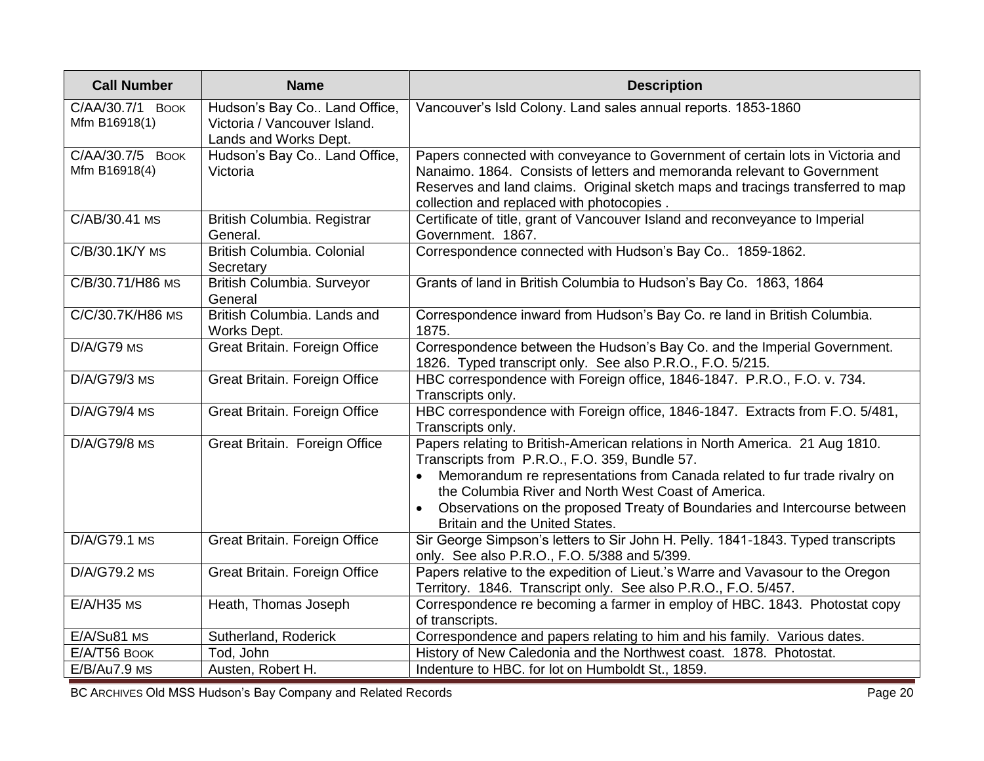| <b>Call Number</b>                          | <b>Name</b>                                                                           | <b>Description</b>                                                                                                                                                                                                                                                                                                                                                               |
|---------------------------------------------|---------------------------------------------------------------------------------------|----------------------------------------------------------------------------------------------------------------------------------------------------------------------------------------------------------------------------------------------------------------------------------------------------------------------------------------------------------------------------------|
| C/AA/30.7/1<br><b>BOOK</b><br>Mfm B16918(1) | Hudson's Bay Co Land Office,<br>Victoria / Vancouver Island.<br>Lands and Works Dept. | Vancouver's Isld Colony. Land sales annual reports. 1853-1860                                                                                                                                                                                                                                                                                                                    |
| C/AA/30.7/5 BOOK<br>Mfm B16918(4)           | Hudson's Bay Co Land Office,<br>Victoria                                              | Papers connected with conveyance to Government of certain lots in Victoria and<br>Nanaimo. 1864. Consists of letters and memoranda relevant to Government<br>Reserves and land claims. Original sketch maps and tracings transferred to map<br>collection and replaced with photocopies.                                                                                         |
| $C/AB/30.41$ MS                             | British Columbia. Registrar<br>General.                                               | Certificate of title, grant of Vancouver Island and reconveyance to Imperial<br>Government. 1867.                                                                                                                                                                                                                                                                                |
| C/B/30.1K/Y MS                              | British Columbia. Colonial<br>Secretary                                               | Correspondence connected with Hudson's Bay Co 1859-1862.                                                                                                                                                                                                                                                                                                                         |
| C/B/30.71/H86 MS                            | British Columbia. Surveyor<br>General                                                 | Grants of land in British Columbia to Hudson's Bay Co. 1863, 1864                                                                                                                                                                                                                                                                                                                |
| C/C/30.7K/H86 MS                            | British Columbia. Lands and<br>Works Dept.                                            | Correspondence inward from Hudson's Bay Co. re land in British Columbia.<br>1875.                                                                                                                                                                                                                                                                                                |
| $D/A/G79$ MS                                | Great Britain. Foreign Office                                                         | Correspondence between the Hudson's Bay Co. and the Imperial Government.<br>1826. Typed transcript only. See also P.R.O., F.O. 5/215.                                                                                                                                                                                                                                            |
| $D/A/G79/3$ MS                              | Great Britain. Foreign Office                                                         | HBC correspondence with Foreign office, 1846-1847. P.R.O., F.O. v. 734.<br>Transcripts only.                                                                                                                                                                                                                                                                                     |
| $D/A/G79/4$ MS                              | Great Britain. Foreign Office                                                         | HBC correspondence with Foreign office, 1846-1847. Extracts from F.O. 5/481,<br>Transcripts only.                                                                                                                                                                                                                                                                                |
| D/A/G79/8 MS                                | Great Britain. Foreign Office                                                         | Papers relating to British-American relations in North America. 21 Aug 1810.<br>Transcripts from P.R.O., F.O. 359, Bundle 57.<br>Memorandum re representations from Canada related to fur trade rivalry on<br>the Columbia River and North West Coast of America.<br>Observations on the proposed Treaty of Boundaries and Intercourse between<br>Britain and the United States. |
| D/A/G79.1 MS                                | Great Britain. Foreign Office                                                         | Sir George Simpson's letters to Sir John H. Pelly. 1841-1843. Typed transcripts<br>only. See also P.R.O., F.O. 5/388 and 5/399.                                                                                                                                                                                                                                                  |
| D/A/G79.2 MS                                | Great Britain. Foreign Office                                                         | Papers relative to the expedition of Lieut.'s Warre and Vavasour to the Oregon<br>Territory. 1846. Transcript only. See also P.R.O., F.O. 5/457.                                                                                                                                                                                                                                 |
| $E/A/H35$ MS                                | Heath, Thomas Joseph                                                                  | Correspondence re becoming a farmer in employ of HBC. 1843. Photostat copy<br>of transcripts.                                                                                                                                                                                                                                                                                    |
| E/A/Su81 MS                                 | Sutherland, Roderick                                                                  | Correspondence and papers relating to him and his family. Various dates.                                                                                                                                                                                                                                                                                                         |
| E/A/T56 BOOK                                | Tod, John                                                                             | History of New Caledonia and the Northwest coast. 1878. Photostat.                                                                                                                                                                                                                                                                                                               |
| E/B/Au7.9 MS                                | Austen, Robert H.                                                                     | Indenture to HBC. for lot on Humboldt St., 1859.                                                                                                                                                                                                                                                                                                                                 |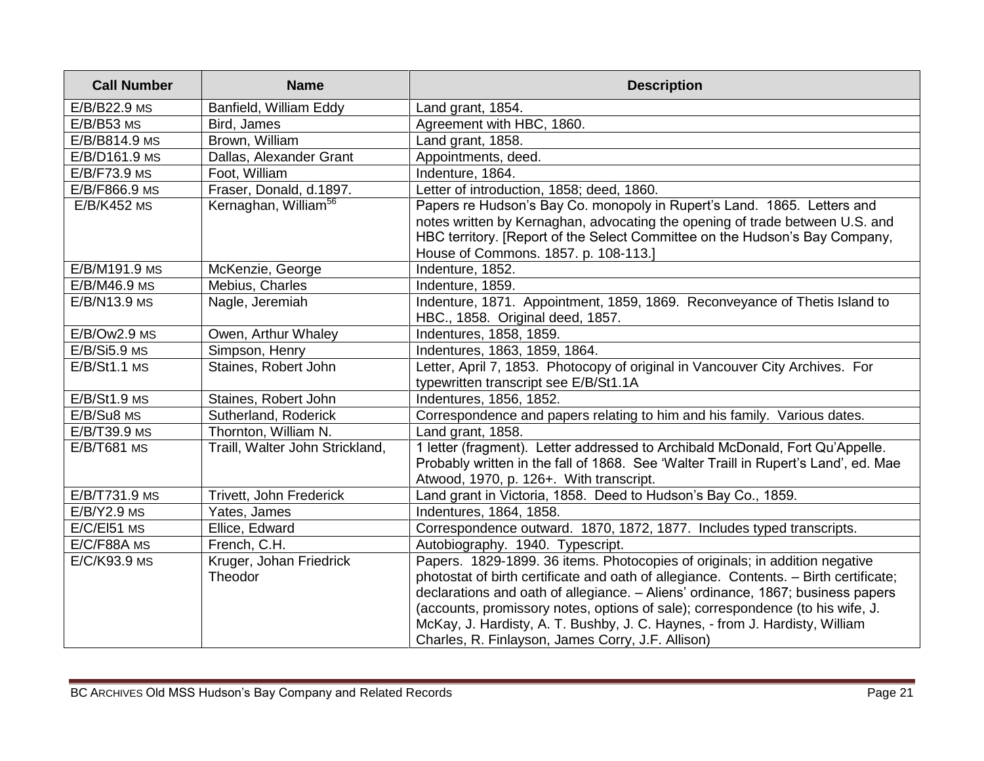| <b>Call Number</b> | <b>Name</b>                        | <b>Description</b>                                                                                                                                                                                                                                                                                                                                                                                                                                                            |
|--------------------|------------------------------------|-------------------------------------------------------------------------------------------------------------------------------------------------------------------------------------------------------------------------------------------------------------------------------------------------------------------------------------------------------------------------------------------------------------------------------------------------------------------------------|
| E/B/B22.9 MS       | Banfield, William Eddy             | Land grant, 1854.                                                                                                                                                                                                                                                                                                                                                                                                                                                             |
| $E/B/B53$ MS       | Bird, James                        | Agreement with HBC, 1860.                                                                                                                                                                                                                                                                                                                                                                                                                                                     |
| E/B/B814.9 MS      | Brown, William                     | Land grant, 1858.                                                                                                                                                                                                                                                                                                                                                                                                                                                             |
| E/B/D161.9 MS      | Dallas, Alexander Grant            | Appointments, deed.                                                                                                                                                                                                                                                                                                                                                                                                                                                           |
| E/B/F73.9 MS       | Foot, William                      | Indenture, 1864.                                                                                                                                                                                                                                                                                                                                                                                                                                                              |
| E/B/F866.9 MS      | Fraser, Donald, d.1897.            | Letter of introduction, 1858; deed, 1860.                                                                                                                                                                                                                                                                                                                                                                                                                                     |
| <b>E/B/K452 MS</b> | Kernaghan, William <sup>56</sup>   | Papers re Hudson's Bay Co. monopoly in Rupert's Land. 1865. Letters and<br>notes written by Kernaghan, advocating the opening of trade between U.S. and<br>HBC territory. [Report of the Select Committee on the Hudson's Bay Company,<br>House of Commons. 1857. p. 108-113.]                                                                                                                                                                                                |
| E/B/M191.9 MS      | McKenzie, George                   | Indenture, 1852.                                                                                                                                                                                                                                                                                                                                                                                                                                                              |
| E/B/M46.9 MS       | Mebius, Charles                    | Indenture, 1859.                                                                                                                                                                                                                                                                                                                                                                                                                                                              |
| E/B/N13.9 MS       | Nagle, Jeremiah                    | Indenture, 1871. Appointment, 1859, 1869. Reconveyance of Thetis Island to<br>HBC., 1858. Original deed, 1857.                                                                                                                                                                                                                                                                                                                                                                |
| $E/B/Ow2.9$ MS     | Owen, Arthur Whaley                | Indentures, 1858, 1859.                                                                                                                                                                                                                                                                                                                                                                                                                                                       |
| $E/B/Si5.9$ MS     | Simpson, Henry                     | Indentures, 1863, 1859, 1864.                                                                                                                                                                                                                                                                                                                                                                                                                                                 |
| $E/B/St1.1$ MS     | Staines, Robert John               | Letter, April 7, 1853. Photocopy of original in Vancouver City Archives. For<br>typewritten transcript see E/B/St1.1A                                                                                                                                                                                                                                                                                                                                                         |
| $E/B/St1.9$ MS     | Staines, Robert John               | Indentures, 1856, 1852.                                                                                                                                                                                                                                                                                                                                                                                                                                                       |
| E/B/Su8 MS         | Sutherland, Roderick               | Correspondence and papers relating to him and his family. Various dates.                                                                                                                                                                                                                                                                                                                                                                                                      |
| E/B/T39.9 MS       | Thornton, William N.               | Land grant, 1858.                                                                                                                                                                                                                                                                                                                                                                                                                                                             |
| E/B/T681 MS        | Traill, Walter John Strickland,    | 1 letter (fragment). Letter addressed to Archibald McDonald, Fort Qu'Appelle.<br>Probably written in the fall of 1868. See 'Walter Traill in Rupert's Land', ed. Mae<br>Atwood, 1970, p. 126+. With transcript.                                                                                                                                                                                                                                                               |
| E/B/T731.9 MS      | Trivett, John Frederick            | Land grant in Victoria, 1858. Deed to Hudson's Bay Co., 1859.                                                                                                                                                                                                                                                                                                                                                                                                                 |
| $E/B/Y2.9$ MS      | Yates, James                       | Indentures, 1864, 1858.                                                                                                                                                                                                                                                                                                                                                                                                                                                       |
| E/C/EI51 MS        | Ellice, Edward                     | Correspondence outward. 1870, 1872, 1877. Includes typed transcripts.                                                                                                                                                                                                                                                                                                                                                                                                         |
| E/C/F88A MS        | French, C.H.                       | Autobiography. 1940. Typescript.                                                                                                                                                                                                                                                                                                                                                                                                                                              |
| E/C/K93.9 MS       | Kruger, Johan Friedrick<br>Theodor | Papers. 1829-1899. 36 items. Photocopies of originals; in addition negative<br>photostat of birth certificate and oath of allegiance. Contents. - Birth certificate;<br>declarations and oath of allegiance. - Aliens' ordinance, 1867; business papers<br>(accounts, promissory notes, options of sale); correspondence (to his wife, J.<br>McKay, J. Hardisty, A. T. Bushby, J. C. Haynes, - from J. Hardisty, William<br>Charles, R. Finlayson, James Corry, J.F. Allison) |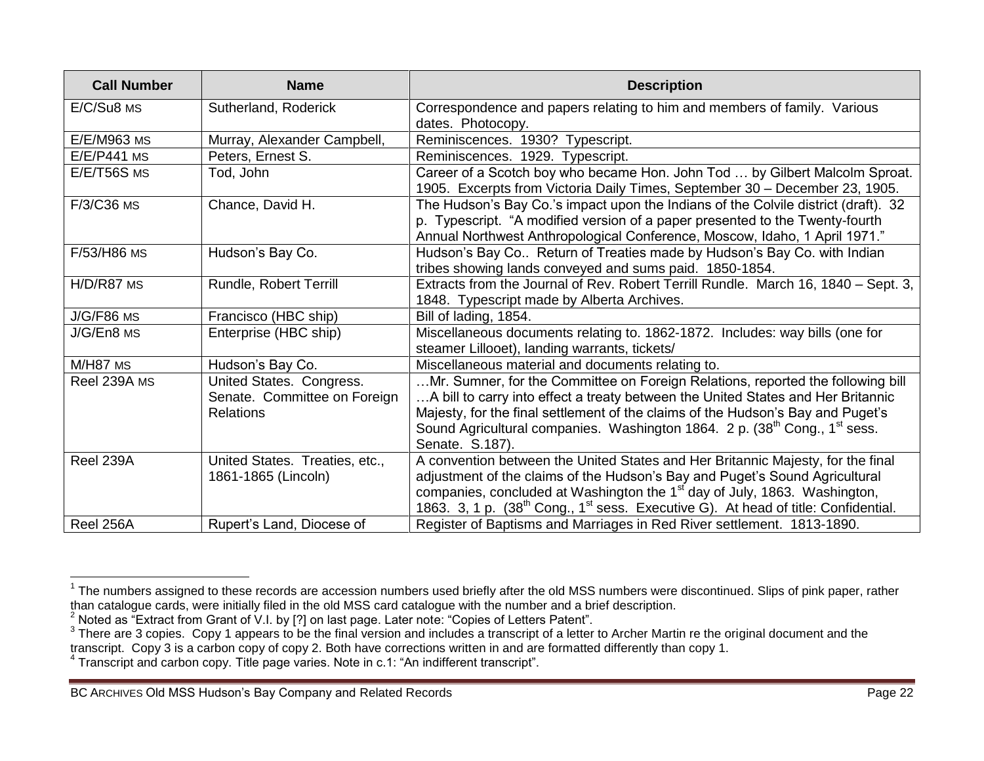| <b>Call Number</b> | <b>Name</b>                                                                  | <b>Description</b>                                                                                                                                                                                                                                                                                                                                                              |
|--------------------|------------------------------------------------------------------------------|---------------------------------------------------------------------------------------------------------------------------------------------------------------------------------------------------------------------------------------------------------------------------------------------------------------------------------------------------------------------------------|
| E/C/Su8 MS         | Sutherland, Roderick                                                         | Correspondence and papers relating to him and members of family. Various<br>dates. Photocopy.                                                                                                                                                                                                                                                                                   |
| E/E/M963 MS        | Murray, Alexander Campbell,                                                  | Reminiscences. 1930? Typescript.                                                                                                                                                                                                                                                                                                                                                |
| <b>E/E/P441 MS</b> | Peters, Ernest S.                                                            | Reminiscences. 1929. Typescript.                                                                                                                                                                                                                                                                                                                                                |
| $E/E/T56S$ MS      | Tod, John                                                                    | Career of a Scotch boy who became Hon. John Tod  by Gilbert Malcolm Sproat.<br>1905. Excerpts from Victoria Daily Times, September 30 - December 23, 1905.                                                                                                                                                                                                                      |
| F/3/C36 MS         | Chance, David H.                                                             | The Hudson's Bay Co.'s impact upon the Indians of the Colvile district (draft). 32<br>p. Typescript. "A modified version of a paper presented to the Twenty-fourth<br>Annual Northwest Anthropological Conference, Moscow, Idaho, 1 April 1971."                                                                                                                                |
| F/53/H86 MS        | Hudson's Bay Co.                                                             | Hudson's Bay Co Return of Treaties made by Hudson's Bay Co. with Indian<br>tribes showing lands conveyed and sums paid. 1850-1854.                                                                                                                                                                                                                                              |
| H/D/R87 MS         | Rundle, Robert Terrill                                                       | Extracts from the Journal of Rev. Robert Terrill Rundle. March 16, 1840 – Sept. 3,<br>1848. Typescript made by Alberta Archives.                                                                                                                                                                                                                                                |
| $J/G/F86$ MS       | Francisco (HBC ship)                                                         | Bill of lading, 1854.                                                                                                                                                                                                                                                                                                                                                           |
| J/G/En8 MS         | Enterprise (HBC ship)                                                        | Miscellaneous documents relating to. 1862-1872. Includes: way bills (one for<br>steamer Lillooet), landing warrants, tickets/                                                                                                                                                                                                                                                   |
| M/H87 MS           | Hudson's Bay Co.                                                             | Miscellaneous material and documents relating to.                                                                                                                                                                                                                                                                                                                               |
| Reel 239A MS       | United States. Congress.<br>Senate. Committee on Foreign<br><b>Relations</b> | Mr. Sumner, for the Committee on Foreign Relations, reported the following bill<br>A bill to carry into effect a treaty between the United States and Her Britannic<br>Majesty, for the final settlement of the claims of the Hudson's Bay and Puget's<br>Sound Agricultural companies. Washington 1864. 2 p. (38 <sup>th</sup> Cong., 1 <sup>st</sup> sess.<br>Senate. S.187). |
| Reel 239A          | United States. Treaties, etc.,<br>1861-1865 (Lincoln)                        | A convention between the United States and Her Britannic Majesty, for the final<br>adjustment of the claims of the Hudson's Bay and Puget's Sound Agricultural<br>companies, concluded at Washington the 1 <sup>st</sup> day of July, 1863. Washington,<br>1863. 3, 1 p. (38 <sup>th</sup> Cong., 1 <sup>st</sup> sess. Executive G). At head of title: Confidential.           |
| Reel 256A          | Rupert's Land, Diocese of                                                    | Register of Baptisms and Marriages in Red River settlement. 1813-1890.                                                                                                                                                                                                                                                                                                          |

 1 The numbers assigned to these records are accession numbers used briefly after the old MSS numbers were discontinued. Slips of pink paper, rather than catalogue cards, were initially filed in the old MSS card catalogue with the number and a brief description.

<sup>2</sup> Noted as "Extract from Grant of V.I. by [?] on last page. Later note: "Copies of Letters Patent".

 $3$  There are 3 copies. Copy 1 appears to be the final version and includes a transcript of a letter to Archer Martin re the original document and the transcript. Copy 3 is a carbon copy of copy 2. Both have corrections written in and are formatted differently than copy 1.

<sup>&</sup>lt;sup>4</sup> Transcript and carbon copy. Title page varies. Note in c.1: "An indifferent transcript".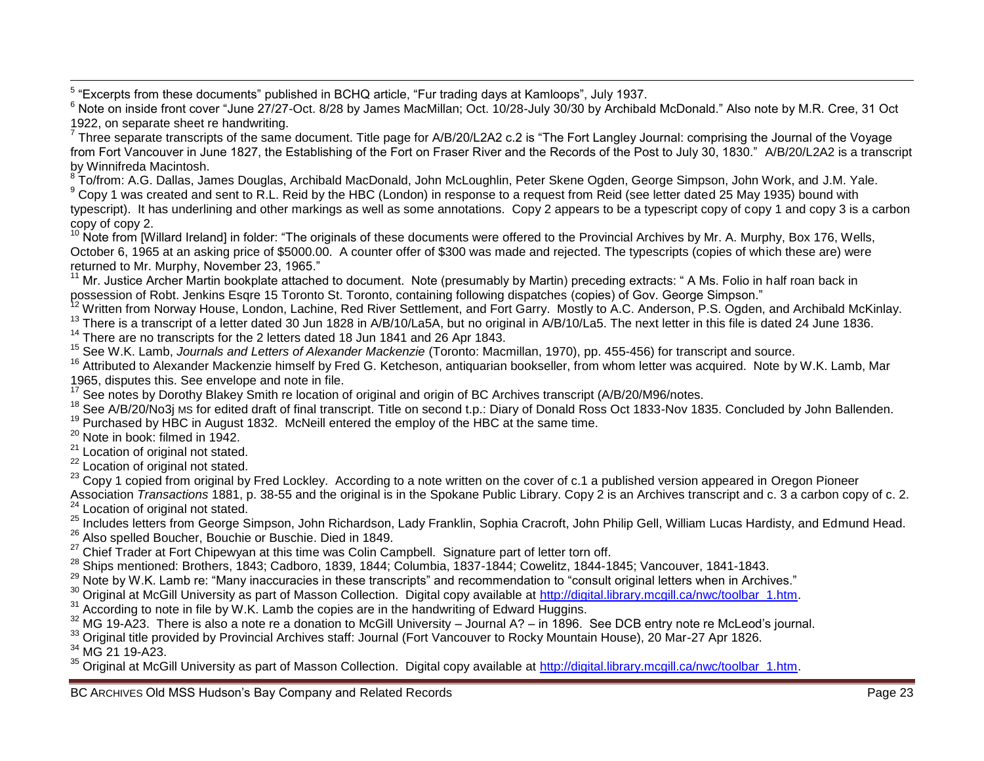5 "Excerpts from these documents" published in BCHQ article, "Fur trading days at Kamloops", July 1937.

<sup>6</sup> Note on inside front cover "June 27/27-Oct. 8/28 by James MacMillan; Oct. 10/28-July 30/30 by Archibald McDonald." Also note by M.R. Cree, 31 Oct 1922, on separate sheet re handwriting.

Three separate transcripts of the same document. Title page for A/B/20/L2A2 c.2 is "The Fort Langley Journal: comprising the Journal of the Voyage from Fort Vancouver in June 1827, the Establishing of the Fort on Fraser River and the Records of the Post to July 30, 1830." A/B/20/L2A2 is a transcript by Winnifreda Macintosh.

<sup>8</sup> To/from: A.G. Dallas, James Douglas, Archibald MacDonald, John McLoughlin, Peter Skene Ogden, George Simpson, John Work, and J.M. Yale.

 $9$  Copy 1 was created and sent to R.L. Reid by the HBC (London) in response to a request from Reid (see letter dated 25 May 1935) bound with typescript). It has underlining and other markings as well as some annotations. Copy 2 appears to be a typescript copy of copy 1 and copy 3 is a carbon copy of copy 2.

 $10$  Note from [Willard Ireland] in folder: "The originals of these documents were offered to the Provincial Archives by Mr. A. Murphy, Box 176, Wells, October 6, 1965 at an asking price of \$5000.00. A counter offer of \$300 was made and rejected. The typescripts (copies of which these are) were returned to Mr. Murphy, November 23, 1965."

<sup>11</sup> Mr. Justice Archer Martin bookplate attached to document. Note (presumably by Martin) preceding extracts: " A Ms. Folio in half roan back in possession of Robt. Jenkins Esqre 15 Toronto St. Toronto, containing following dispatches (copies) of Gov. George Simpson."

<sup>12</sup> Written from Norway House, London, Lachine, Red River Settlement, and Fort Garry. Mostly to A.C. Anderson, P.S. Ogden, and Archibald McKinlay.

<sup>13</sup> There is a transcript of a letter dated 30 Jun 1828 in A/B/10/La5A, but no original in A/B/10/La5. The next letter in this file is dated 24 June 1836.

<sup>14</sup> There are no transcripts for the 2 letters dated 18 Jun 1841 and 26 Apr 1843.

<sup>15</sup> See W.K. Lamb, *Journals and Letters of Alexander Mackenzie* (Toronto: Macmillan, 1970), pp. 455-456) for transcript and source.

<sup>16</sup> Attributed to Alexander Mackenzie himself by Fred G. Ketcheson, antiquarian bookseller, from whom letter was acquired. Note by W.K. Lamb, Mar 1965, disputes this. See envelope and note in file.

 $17$  See notes by Dorothy Blakey Smith re location of original and origin of BC Archives transcript (A/B/20/M96/notes.

<sup>18</sup> See A/B/20/No3j MS for edited draft of final transcript. Title on second t.p.: Diary of Donald Ross Oct 1833-Nov 1835. Concluded by John Ballenden.

 $19$  Purchased by HBC in August 1832. McNeill entered the employ of the HBC at the same time.

 $20$  Note in book: filmed in 1942.

<sup>21</sup> Location of original not stated.

<sup>22</sup> Location of original not stated.

<sup>23</sup> Copy 1 copied from original by Fred Lockley. According to a note written on the cover of c.1 a published version appeared in Oregon Pioneer Association *Transactions* 1881, p. 38-55 and the original is in the Spokane Public Library. Copy 2 is an Archives transcript and c. 3 a carbon copy of c. 2. <sup>24</sup> Location of original not stated.

<sup>25</sup> Includes letters from George Simpson, John Richardson, Lady Franklin, Sophia Cracroft, John Philip Gell, William Lucas Hardisty, and Edmund Head. <sup>26</sup> Also spelled Boucher, Bouchie or Buschie. Died in 1849.

 $27$  Chief Trader at Fort Chipewyan at this time was Colin Campbell. Signature part of letter torn off.

 $28$  Ships mentioned: Brothers, 1843; Cadboro, 1839, 1844; Columbia, 1837-1844; Cowelitz, 1844-1845; Vancouver, 1841-1843.

<sup>29</sup> Note by W.K. Lamb re: "Many inaccuracies in these transcripts" and recommendation to "consult original letters when in Archives."

<sup>30</sup> Original at McGill University as part of Masson Collection. Digital copy available at [http://digital.library.mcgill.ca/nwc/toolbar\\_1.htm.](http://digital.library.mcgill.ca/nwc/toolbar_1.htm)

 $31$  According to note in file by W.K. Lamb the copies are in the handwriting of Edward Huggins.

 $32$  MG 19-A23. There is also a note re a donation to McGill University – Journal A? – in 1896. See DCB entry note re McLeod's journal.

<sup>33</sup> Original title provided by Provincial Archives staff: Journal (Fort Vancouver to Rocky Mountain House), 20 Mar-27 Apr 1826.

 $34$  MG 21 19-A23.

<sup>35</sup> Original at McGill University as part of Masson Collection. Digital copy available at [http://digital.library.mcgill.ca/nwc/toolbar\\_1.htm.](http://digital.library.mcgill.ca/nwc/toolbar_1.htm)